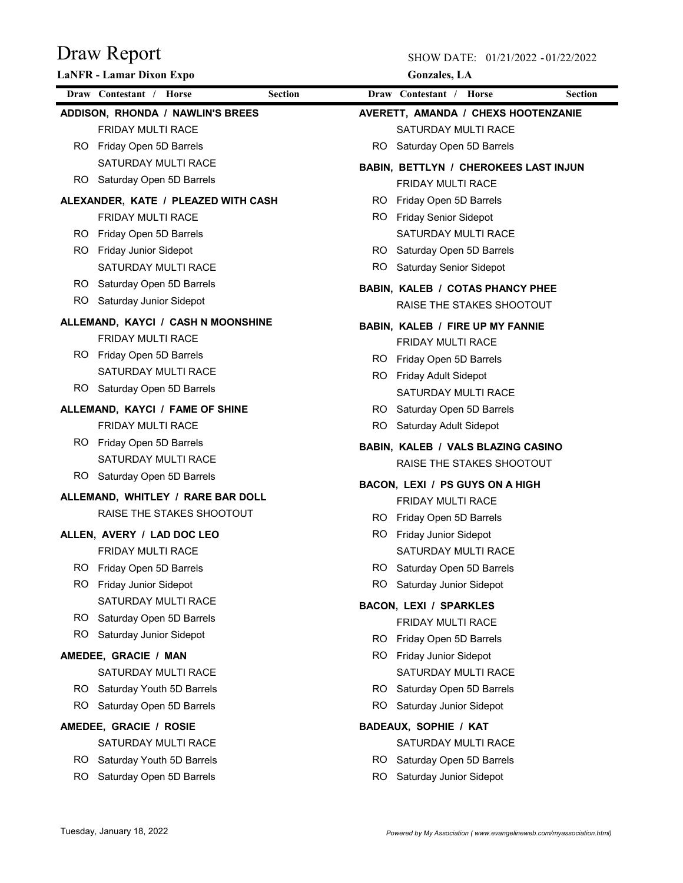|     | <b>LaNFR - Lamar Dixon Expo</b>           |           | <b>Gonzales</b> , LA                    |                |
|-----|-------------------------------------------|-----------|-----------------------------------------|----------------|
|     | Draw Contestant / Horse<br><b>Section</b> |           | Draw Contestant / Horse                 | <b>Section</b> |
|     | ADDISON, RHONDA / NAWLIN'S BREES          |           | AVERETT, AMANDA / CHEXS HOOTENZANIE     |                |
|     | <b>FRIDAY MULTI RACE</b>                  |           | SATURDAY MULTI RACE                     |                |
|     | RO Friday Open 5D Barrels                 | RO        | Saturday Open 5D Barrels                |                |
|     | SATURDAY MULTI RACE                       |           | BABIN, BETTLYN / CHEROKEES LAST INJUN   |                |
|     | RO Saturday Open 5D Barrels               |           | <b>FRIDAY MULTI RACE</b>                |                |
|     | ALEXANDER, KATE / PLEAZED WITH CASH       | RO.       | Friday Open 5D Barrels                  |                |
|     | FRIDAY MULTI RACE                         |           | RO Friday Senior Sidepot                |                |
|     | RO Friday Open 5D Barrels                 |           | SATURDAY MULTI RACE                     |                |
|     | RO Friday Junior Sidepot                  |           | RO Saturday Open 5D Barrels             |                |
|     | SATURDAY MULTI RACE                       |           | RO Saturday Senior Sidepot              |                |
|     | RO Saturday Open 5D Barrels               |           | BABIN, KALEB / COTAS PHANCY PHEE        |                |
|     | RO Saturday Junior Sidepot                |           | RAISE THE STAKES SHOOTOUT               |                |
|     | ALLEMAND, KAYCI / CASH N MOONSHINE        |           | <b>BABIN, KALEB / FIRE UP MY FANNIE</b> |                |
|     | <b>FRIDAY MULTI RACE</b>                  |           | <b>FRIDAY MULTI RACE</b>                |                |
|     | RO Friday Open 5D Barrels                 |           | RO Friday Open 5D Barrels               |                |
|     | SATURDAY MULTI RACE                       | RO.       | Friday Adult Sidepot                    |                |
|     | RO Saturday Open 5D Barrels               |           | SATURDAY MULTI RACE                     |                |
|     | ALLEMAND, KAYCI / FAME OF SHINE           |           | RO Saturday Open 5D Barrels             |                |
|     | <b>FRIDAY MULTI RACE</b>                  |           | RO Saturday Adult Sidepot               |                |
|     | RO Friday Open 5D Barrels                 |           | BABIN, KALEB / VALS BLAZING CASINO      |                |
|     | <b>SATURDAY MULTI RACE</b>                |           | RAISE THE STAKES SHOOTOUT               |                |
|     | RO Saturday Open 5D Barrels               |           | BACON, LEXI / PS GUYS ON A HIGH         |                |
|     | ALLEMAND, WHITLEY / RARE BAR DOLL         |           | <b>FRIDAY MULTI RACE</b>                |                |
|     | RAISE THE STAKES SHOOTOUT                 |           | RO Friday Open 5D Barrels               |                |
|     | ALLEN, AVERY / LAD DOC LEO                |           | RO Friday Junior Sidepot                |                |
|     | FRIDAY MULTI RACE                         |           | SATURDAY MULTI RACE                     |                |
|     | Friday Open 5D Barrels                    | <b>RO</b> | Saturday Open 5D Barrels                |                |
| RO. | <b>Friday Junior Sidepot</b>              | RO.       | Saturday Junior Sidepot                 |                |
|     | SATURDAY MULTI RACE                       |           | <b>BACON, LEXI / SPARKLES</b>           |                |
|     | RO Saturday Open 5D Barrels               |           | <b>FRIDAY MULTI RACE</b>                |                |
| RO. | Saturday Junior Sidepot                   | RO.       | Friday Open 5D Barrels                  |                |
|     | AMEDEE, GRACIE / MAN                      | RO.       | Friday Junior Sidepot                   |                |
|     | SATURDAY MULTI RACE                       |           | SATURDAY MULTI RACE                     |                |
|     | RO Saturday Youth 5D Barrels              | RO.       | Saturday Open 5D Barrels                |                |
|     | RO Saturday Open 5D Barrels               | RO.       | Saturday Junior Sidepot                 |                |
|     | AMEDEE, GRACIE / ROSIE                    |           | <b>BADEAUX, SOPHIE / KAT</b>            |                |
|     | SATURDAY MULTI RACE                       |           | SATURDAY MULTI RACE                     |                |
|     | RO Saturday Youth 5D Barrels              | RO.       | Saturday Open 5D Barrels                |                |
| RO. | Saturday Open 5D Barrels                  | RO.       | Saturday Junior Sidepot                 |                |
|     |                                           |           |                                         |                |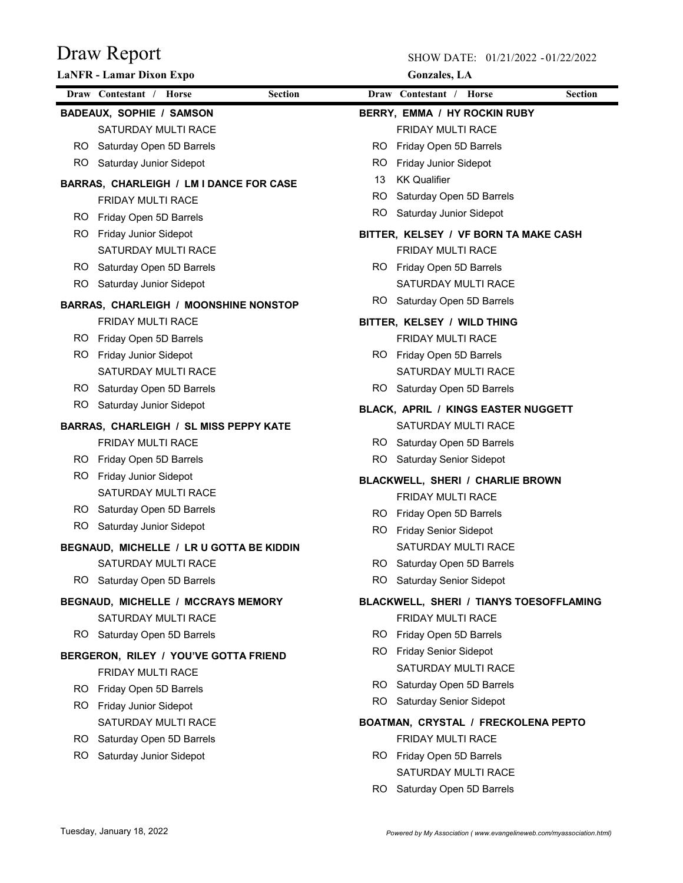|     | <b>LaNFR - Lamar Dixon Expo</b>              |                |     | <b>Gonzales</b> , LA                    |                |
|-----|----------------------------------------------|----------------|-----|-----------------------------------------|----------------|
|     | Draw Contestant / Horse                      | <b>Section</b> |     | Draw Contestant / Horse                 | <b>Section</b> |
|     | <b>BADEAUX, SOPHIE / SAMSON</b>              |                |     | BERRY, EMMA / HY ROCKIN RUBY            |                |
|     | SATURDAY MULTI RACE                          |                |     | FRIDAY MULTI RACE                       |                |
|     | RO Saturday Open 5D Barrels                  |                | RO. | Friday Open 5D Barrels                  |                |
|     | RO Saturday Junior Sidepot                   |                | RO. | <b>Friday Junior Sidepot</b>            |                |
|     | BARRAS, CHARLEIGH / LM I DANCE FOR CASE      |                | 13  | <b>KK Qualifier</b>                     |                |
|     | <b>FRIDAY MULTI RACE</b>                     |                | RO. | Saturday Open 5D Barrels                |                |
|     | RO Friday Open 5D Barrels                    |                |     | RO Saturday Junior Sidepot              |                |
| RO. | <b>Friday Junior Sidepot</b>                 |                |     | BITTER, KELSEY / VF BORN TA MAKE CASH   |                |
|     | SATURDAY MULTI RACE                          |                |     | FRIDAY MULTI RACE                       |                |
|     | RO Saturday Open 5D Barrels                  |                |     | RO Friday Open 5D Barrels               |                |
|     | RO Saturday Junior Sidepot                   |                |     | SATURDAY MULTI RACE                     |                |
|     | <b>BARRAS, CHARLEIGH / MOONSHINE NONSTOP</b> |                |     | RO Saturday Open 5D Barrels             |                |
|     | <b>FRIDAY MULTI RACE</b>                     |                |     | BITTER, KELSEY / WILD THING             |                |
|     | RO Friday Open 5D Barrels                    |                |     | <b>FRIDAY MULTI RACE</b>                |                |
| RO. | Friday Junior Sidepot                        |                |     | RO Friday Open 5D Barrels               |                |
|     | SATURDAY MULTI RACE                          |                |     | SATURDAY MULTI RACE                     |                |
|     | RO Saturday Open 5D Barrels                  |                |     | RO Saturday Open 5D Barrels             |                |
|     | RO Saturday Junior Sidepot                   |                |     | BLACK, APRIL / KINGS EASTER NUGGETT     |                |
|     | BARRAS, CHARLEIGH / SL MISS PEPPY KATE       |                |     | SATURDAY MULTI RACE                     |                |
|     | FRIDAY MULTI RACE                            |                |     | RO Saturday Open 5D Barrels             |                |
|     | RO Friday Open 5D Barrels                    |                |     | RO Saturday Senior Sidepot              |                |
| RO. | Friday Junior Sidepot                        |                |     | BLACKWELL, SHERI / CHARLIE BROWN        |                |
|     | SATURDAY MULTI RACE                          |                |     | <b>FRIDAY MULTI RACE</b>                |                |
|     | RO Saturday Open 5D Barrels                  |                |     | RO Friday Open 5D Barrels               |                |
|     | RO Saturday Junior Sidepot                   |                |     | RO Friday Senior Sidepot                |                |
|     | BEGNAUD, MICHELLE / LR U GOTTA BE KIDDIN     |                |     | SATURDAY MULTI RACE                     |                |
|     | SATURDAY MULTI RACE                          |                |     | RO Saturday Open 5D Barrels             |                |
|     | RO Saturday Open 5D Barrels                  |                |     | RO Saturday Senior Sidepot              |                |
|     | <b>BEGNAUD, MICHELLE / MCCRAYS MEMORY</b>    |                |     | BLACKWELL, SHERI / TIANYS TOESOFFLAMING |                |
|     | SATURDAY MULTI RACE                          |                |     | FRIDAY MULTI RACE                       |                |
|     | RO Saturday Open 5D Barrels                  |                | RO. | Friday Open 5D Barrels                  |                |
|     | BERGERON, RILEY / YOU'VE GOTTA FRIEND        |                |     | RO Friday Senior Sidepot                |                |
|     | FRIDAY MULTI RACE                            |                |     | SATURDAY MULTI RACE                     |                |
| RO. | Friday Open 5D Barrels                       |                |     | RO Saturday Open 5D Barrels             |                |
|     | RO Friday Junior Sidepot                     |                |     | RO Saturday Senior Sidepot              |                |
|     | SATURDAY MULTI RACE                          |                |     | BOATMAN, CRYSTAL / FRECKOLENA PEPTO     |                |
|     | RO Saturday Open 5D Barrels                  |                |     | FRIDAY MULTI RACE                       |                |
| RO. | Saturday Junior Sidepot                      |                |     | RO Friday Open 5D Barrels               |                |
|     |                                              |                |     | SATURDAY MULTI RACE                     |                |
|     |                                              |                |     | RO Saturday Open 5D Barrels             |                |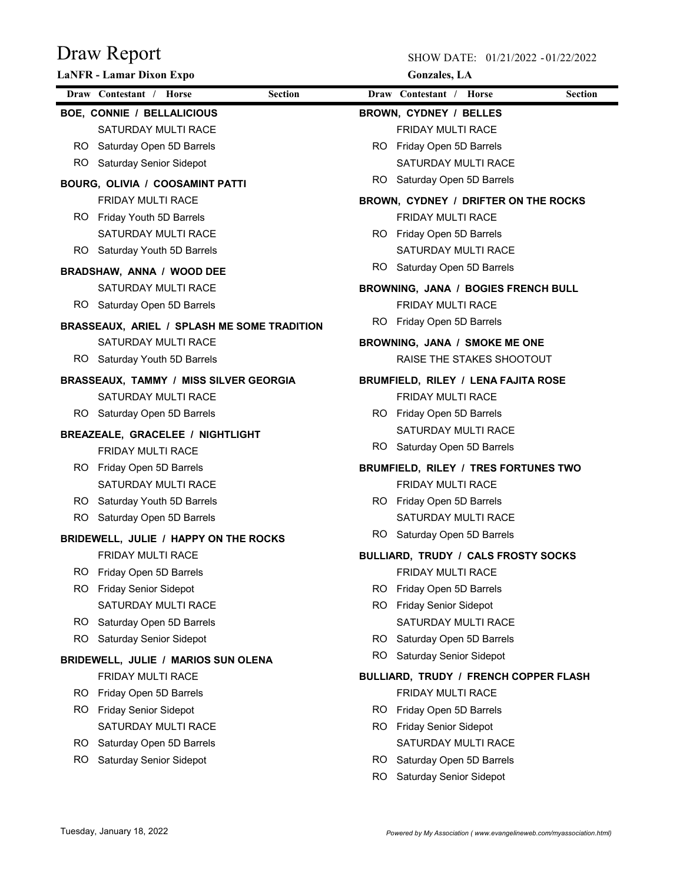| Draw Contestant / Horse<br><b>Section</b><br>Draw Contestant / Horse<br><b>Section</b><br><b>BOE, CONNIE / BELLALICIOUS</b><br>BROWN, CYDNEY / BELLES<br>SATURDAY MULTI RACE<br><b>FRIDAY MULTI RACE</b><br>RO Saturday Open 5D Barrels<br>RO Friday Open 5D Barrels<br><b>SATURDAY MULTI RACE</b><br>RO Saturday Senior Sidepot<br>RO Saturday Open 5D Barrels<br>BOURG, OLIVIA / COOSAMINT PATTI<br><b>FRIDAY MULTI RACE</b><br>BROWN, CYDNEY / DRIFTER ON THE ROCKS<br><b>FRIDAY MULTI RACE</b><br>RO Friday Youth 5D Barrels<br>SATURDAY MULTI RACE<br>RO Friday Open 5D Barrels<br>SATURDAY MULTI RACE<br>RO Saturday Youth 5D Barrels<br>Saturday Open 5D Barrels<br>RO -<br>BRADSHAW, ANNA / WOOD DEE<br>SATURDAY MULTI RACE<br>BROWNING, JANA / BOGIES FRENCH BULL<br><b>FRIDAY MULTI RACE</b><br>RO Saturday Open 5D Barrels<br>RO  <br>Friday Open 5D Barrels<br><b>BRASSEAUX, ARIEL / SPLASH ME SOME TRADITION</b><br>SATURDAY MULTI RACE<br>BROWNING, JANA / SMOKE ME ONE<br>RAISE THE STAKES SHOOTOUT<br>RO Saturday Youth 5D Barrels<br><b>BRASSEAUX, TAMMY / MISS SILVER GEORGIA</b><br><b>BRUMFIELD, RILEY / LENA FAJITA ROSE</b><br>SATURDAY MULTI RACE<br>FRIDAY MULTI RACE<br>RO Friday Open 5D Barrels<br>RO Saturday Open 5D Barrels<br><b>SATURDAY MULTI RACE</b><br><b>BREAZEALE, GRACELEE / NIGHTLIGHT</b><br>RO Saturday Open 5D Barrels<br><b>FRIDAY MULTI RACE</b><br>RO Friday Open 5D Barrels<br>BRUMFIELD, RILEY / TRES FORTUNES TWO<br><b>FRIDAY MULTI RACE</b><br>SATURDAY MULTI RACE<br>RO Saturday Youth 5D Barrels<br>RO Friday Open 5D Barrels<br><b>SATURDAY MULTI RACE</b><br>RO Saturday Open 5D Barrels<br>RO Saturday Open 5D Barrels<br>BRIDEWELL, JULIE / HAPPY ON THE ROCKS<br><b>FRIDAY MULTI RACE</b><br>BULLIARD, TRUDY / CALS FROSTY SOCKS<br>RO.<br>Friday Open 5D Barrels<br><b>FRIDAY MULTI RACE</b><br>RO.<br><b>Friday Senior Sidepot</b><br>RO.<br>Friday Open 5D Barrels<br>SATURDAY MULTI RACE<br>RO.<br><b>Friday Senior Sidepot</b><br>SATURDAY MULTI RACE<br>RO.<br>Saturday Open 5D Barrels<br>RO.<br><b>Saturday Senior Sidepot</b><br>RO.<br>Saturday Open 5D Barrels<br>RO.<br><b>Saturday Senior Sidepot</b><br>BRIDEWELL, JULIE / MARIOS SUN OLENA<br>FRIDAY MULTI RACE<br>BULLIARD, TRUDY / FRENCH COPPER FLASH<br>RO.<br>Friday Open 5D Barrels<br><b>FRIDAY MULTI RACE</b><br>RO.<br><b>Friday Senior Sidepot</b><br>RO.<br>Friday Open 5D Barrels<br>SATURDAY MULTI RACE<br>RO.<br><b>Friday Senior Sidepot</b><br>SATURDAY MULTI RACE<br>RO.<br>Saturday Open 5D Barrels<br>RO.<br>Saturday Senior Sidepot<br>RO.<br>Saturday Open 5D Barrels<br>Saturday Senior Sidepot<br>RO. | <b>LaNFR</b> - Lamar Dixon Expo |  | <b>Gonzales</b> , LA |
|-------------------------------------------------------------------------------------------------------------------------------------------------------------------------------------------------------------------------------------------------------------------------------------------------------------------------------------------------------------------------------------------------------------------------------------------------------------------------------------------------------------------------------------------------------------------------------------------------------------------------------------------------------------------------------------------------------------------------------------------------------------------------------------------------------------------------------------------------------------------------------------------------------------------------------------------------------------------------------------------------------------------------------------------------------------------------------------------------------------------------------------------------------------------------------------------------------------------------------------------------------------------------------------------------------------------------------------------------------------------------------------------------------------------------------------------------------------------------------------------------------------------------------------------------------------------------------------------------------------------------------------------------------------------------------------------------------------------------------------------------------------------------------------------------------------------------------------------------------------------------------------------------------------------------------------------------------------------------------------------------------------------------------------------------------------------------------------------------------------------------------------------------------------------------------------------------------------------------------------------------------------------------------------------------------------------------------------------------------------------------------------------------------------------------------------------------------------------------------------------------------------------------------------------------------------------------------------------------------------------------------------------------------|---------------------------------|--|----------------------|
|                                                                                                                                                                                                                                                                                                                                                                                                                                                                                                                                                                                                                                                                                                                                                                                                                                                                                                                                                                                                                                                                                                                                                                                                                                                                                                                                                                                                                                                                                                                                                                                                                                                                                                                                                                                                                                                                                                                                                                                                                                                                                                                                                                                                                                                                                                                                                                                                                                                                                                                                                                                                                                                       |                                 |  |                      |
|                                                                                                                                                                                                                                                                                                                                                                                                                                                                                                                                                                                                                                                                                                                                                                                                                                                                                                                                                                                                                                                                                                                                                                                                                                                                                                                                                                                                                                                                                                                                                                                                                                                                                                                                                                                                                                                                                                                                                                                                                                                                                                                                                                                                                                                                                                                                                                                                                                                                                                                                                                                                                                                       |                                 |  |                      |
|                                                                                                                                                                                                                                                                                                                                                                                                                                                                                                                                                                                                                                                                                                                                                                                                                                                                                                                                                                                                                                                                                                                                                                                                                                                                                                                                                                                                                                                                                                                                                                                                                                                                                                                                                                                                                                                                                                                                                                                                                                                                                                                                                                                                                                                                                                                                                                                                                                                                                                                                                                                                                                                       |                                 |  |                      |
|                                                                                                                                                                                                                                                                                                                                                                                                                                                                                                                                                                                                                                                                                                                                                                                                                                                                                                                                                                                                                                                                                                                                                                                                                                                                                                                                                                                                                                                                                                                                                                                                                                                                                                                                                                                                                                                                                                                                                                                                                                                                                                                                                                                                                                                                                                                                                                                                                                                                                                                                                                                                                                                       |                                 |  |                      |
|                                                                                                                                                                                                                                                                                                                                                                                                                                                                                                                                                                                                                                                                                                                                                                                                                                                                                                                                                                                                                                                                                                                                                                                                                                                                                                                                                                                                                                                                                                                                                                                                                                                                                                                                                                                                                                                                                                                                                                                                                                                                                                                                                                                                                                                                                                                                                                                                                                                                                                                                                                                                                                                       |                                 |  |                      |
|                                                                                                                                                                                                                                                                                                                                                                                                                                                                                                                                                                                                                                                                                                                                                                                                                                                                                                                                                                                                                                                                                                                                                                                                                                                                                                                                                                                                                                                                                                                                                                                                                                                                                                                                                                                                                                                                                                                                                                                                                                                                                                                                                                                                                                                                                                                                                                                                                                                                                                                                                                                                                                                       |                                 |  |                      |
|                                                                                                                                                                                                                                                                                                                                                                                                                                                                                                                                                                                                                                                                                                                                                                                                                                                                                                                                                                                                                                                                                                                                                                                                                                                                                                                                                                                                                                                                                                                                                                                                                                                                                                                                                                                                                                                                                                                                                                                                                                                                                                                                                                                                                                                                                                                                                                                                                                                                                                                                                                                                                                                       |                                 |  |                      |
|                                                                                                                                                                                                                                                                                                                                                                                                                                                                                                                                                                                                                                                                                                                                                                                                                                                                                                                                                                                                                                                                                                                                                                                                                                                                                                                                                                                                                                                                                                                                                                                                                                                                                                                                                                                                                                                                                                                                                                                                                                                                                                                                                                                                                                                                                                                                                                                                                                                                                                                                                                                                                                                       |                                 |  |                      |
|                                                                                                                                                                                                                                                                                                                                                                                                                                                                                                                                                                                                                                                                                                                                                                                                                                                                                                                                                                                                                                                                                                                                                                                                                                                                                                                                                                                                                                                                                                                                                                                                                                                                                                                                                                                                                                                                                                                                                                                                                                                                                                                                                                                                                                                                                                                                                                                                                                                                                                                                                                                                                                                       |                                 |  |                      |
|                                                                                                                                                                                                                                                                                                                                                                                                                                                                                                                                                                                                                                                                                                                                                                                                                                                                                                                                                                                                                                                                                                                                                                                                                                                                                                                                                                                                                                                                                                                                                                                                                                                                                                                                                                                                                                                                                                                                                                                                                                                                                                                                                                                                                                                                                                                                                                                                                                                                                                                                                                                                                                                       |                                 |  |                      |
|                                                                                                                                                                                                                                                                                                                                                                                                                                                                                                                                                                                                                                                                                                                                                                                                                                                                                                                                                                                                                                                                                                                                                                                                                                                                                                                                                                                                                                                                                                                                                                                                                                                                                                                                                                                                                                                                                                                                                                                                                                                                                                                                                                                                                                                                                                                                                                                                                                                                                                                                                                                                                                                       |                                 |  |                      |
|                                                                                                                                                                                                                                                                                                                                                                                                                                                                                                                                                                                                                                                                                                                                                                                                                                                                                                                                                                                                                                                                                                                                                                                                                                                                                                                                                                                                                                                                                                                                                                                                                                                                                                                                                                                                                                                                                                                                                                                                                                                                                                                                                                                                                                                                                                                                                                                                                                                                                                                                                                                                                                                       |                                 |  |                      |
|                                                                                                                                                                                                                                                                                                                                                                                                                                                                                                                                                                                                                                                                                                                                                                                                                                                                                                                                                                                                                                                                                                                                                                                                                                                                                                                                                                                                                                                                                                                                                                                                                                                                                                                                                                                                                                                                                                                                                                                                                                                                                                                                                                                                                                                                                                                                                                                                                                                                                                                                                                                                                                                       |                                 |  |                      |
|                                                                                                                                                                                                                                                                                                                                                                                                                                                                                                                                                                                                                                                                                                                                                                                                                                                                                                                                                                                                                                                                                                                                                                                                                                                                                                                                                                                                                                                                                                                                                                                                                                                                                                                                                                                                                                                                                                                                                                                                                                                                                                                                                                                                                                                                                                                                                                                                                                                                                                                                                                                                                                                       |                                 |  |                      |
|                                                                                                                                                                                                                                                                                                                                                                                                                                                                                                                                                                                                                                                                                                                                                                                                                                                                                                                                                                                                                                                                                                                                                                                                                                                                                                                                                                                                                                                                                                                                                                                                                                                                                                                                                                                                                                                                                                                                                                                                                                                                                                                                                                                                                                                                                                                                                                                                                                                                                                                                                                                                                                                       |                                 |  |                      |
|                                                                                                                                                                                                                                                                                                                                                                                                                                                                                                                                                                                                                                                                                                                                                                                                                                                                                                                                                                                                                                                                                                                                                                                                                                                                                                                                                                                                                                                                                                                                                                                                                                                                                                                                                                                                                                                                                                                                                                                                                                                                                                                                                                                                                                                                                                                                                                                                                                                                                                                                                                                                                                                       |                                 |  |                      |
|                                                                                                                                                                                                                                                                                                                                                                                                                                                                                                                                                                                                                                                                                                                                                                                                                                                                                                                                                                                                                                                                                                                                                                                                                                                                                                                                                                                                                                                                                                                                                                                                                                                                                                                                                                                                                                                                                                                                                                                                                                                                                                                                                                                                                                                                                                                                                                                                                                                                                                                                                                                                                                                       |                                 |  |                      |
|                                                                                                                                                                                                                                                                                                                                                                                                                                                                                                                                                                                                                                                                                                                                                                                                                                                                                                                                                                                                                                                                                                                                                                                                                                                                                                                                                                                                                                                                                                                                                                                                                                                                                                                                                                                                                                                                                                                                                                                                                                                                                                                                                                                                                                                                                                                                                                                                                                                                                                                                                                                                                                                       |                                 |  |                      |
|                                                                                                                                                                                                                                                                                                                                                                                                                                                                                                                                                                                                                                                                                                                                                                                                                                                                                                                                                                                                                                                                                                                                                                                                                                                                                                                                                                                                                                                                                                                                                                                                                                                                                                                                                                                                                                                                                                                                                                                                                                                                                                                                                                                                                                                                                                                                                                                                                                                                                                                                                                                                                                                       |                                 |  |                      |
|                                                                                                                                                                                                                                                                                                                                                                                                                                                                                                                                                                                                                                                                                                                                                                                                                                                                                                                                                                                                                                                                                                                                                                                                                                                                                                                                                                                                                                                                                                                                                                                                                                                                                                                                                                                                                                                                                                                                                                                                                                                                                                                                                                                                                                                                                                                                                                                                                                                                                                                                                                                                                                                       |                                 |  |                      |
|                                                                                                                                                                                                                                                                                                                                                                                                                                                                                                                                                                                                                                                                                                                                                                                                                                                                                                                                                                                                                                                                                                                                                                                                                                                                                                                                                                                                                                                                                                                                                                                                                                                                                                                                                                                                                                                                                                                                                                                                                                                                                                                                                                                                                                                                                                                                                                                                                                                                                                                                                                                                                                                       |                                 |  |                      |
|                                                                                                                                                                                                                                                                                                                                                                                                                                                                                                                                                                                                                                                                                                                                                                                                                                                                                                                                                                                                                                                                                                                                                                                                                                                                                                                                                                                                                                                                                                                                                                                                                                                                                                                                                                                                                                                                                                                                                                                                                                                                                                                                                                                                                                                                                                                                                                                                                                                                                                                                                                                                                                                       |                                 |  |                      |
|                                                                                                                                                                                                                                                                                                                                                                                                                                                                                                                                                                                                                                                                                                                                                                                                                                                                                                                                                                                                                                                                                                                                                                                                                                                                                                                                                                                                                                                                                                                                                                                                                                                                                                                                                                                                                                                                                                                                                                                                                                                                                                                                                                                                                                                                                                                                                                                                                                                                                                                                                                                                                                                       |                                 |  |                      |
|                                                                                                                                                                                                                                                                                                                                                                                                                                                                                                                                                                                                                                                                                                                                                                                                                                                                                                                                                                                                                                                                                                                                                                                                                                                                                                                                                                                                                                                                                                                                                                                                                                                                                                                                                                                                                                                                                                                                                                                                                                                                                                                                                                                                                                                                                                                                                                                                                                                                                                                                                                                                                                                       |                                 |  |                      |
|                                                                                                                                                                                                                                                                                                                                                                                                                                                                                                                                                                                                                                                                                                                                                                                                                                                                                                                                                                                                                                                                                                                                                                                                                                                                                                                                                                                                                                                                                                                                                                                                                                                                                                                                                                                                                                                                                                                                                                                                                                                                                                                                                                                                                                                                                                                                                                                                                                                                                                                                                                                                                                                       |                                 |  |                      |
|                                                                                                                                                                                                                                                                                                                                                                                                                                                                                                                                                                                                                                                                                                                                                                                                                                                                                                                                                                                                                                                                                                                                                                                                                                                                                                                                                                                                                                                                                                                                                                                                                                                                                                                                                                                                                                                                                                                                                                                                                                                                                                                                                                                                                                                                                                                                                                                                                                                                                                                                                                                                                                                       |                                 |  |                      |
|                                                                                                                                                                                                                                                                                                                                                                                                                                                                                                                                                                                                                                                                                                                                                                                                                                                                                                                                                                                                                                                                                                                                                                                                                                                                                                                                                                                                                                                                                                                                                                                                                                                                                                                                                                                                                                                                                                                                                                                                                                                                                                                                                                                                                                                                                                                                                                                                                                                                                                                                                                                                                                                       |                                 |  |                      |
|                                                                                                                                                                                                                                                                                                                                                                                                                                                                                                                                                                                                                                                                                                                                                                                                                                                                                                                                                                                                                                                                                                                                                                                                                                                                                                                                                                                                                                                                                                                                                                                                                                                                                                                                                                                                                                                                                                                                                                                                                                                                                                                                                                                                                                                                                                                                                                                                                                                                                                                                                                                                                                                       |                                 |  |                      |
|                                                                                                                                                                                                                                                                                                                                                                                                                                                                                                                                                                                                                                                                                                                                                                                                                                                                                                                                                                                                                                                                                                                                                                                                                                                                                                                                                                                                                                                                                                                                                                                                                                                                                                                                                                                                                                                                                                                                                                                                                                                                                                                                                                                                                                                                                                                                                                                                                                                                                                                                                                                                                                                       |                                 |  |                      |
|                                                                                                                                                                                                                                                                                                                                                                                                                                                                                                                                                                                                                                                                                                                                                                                                                                                                                                                                                                                                                                                                                                                                                                                                                                                                                                                                                                                                                                                                                                                                                                                                                                                                                                                                                                                                                                                                                                                                                                                                                                                                                                                                                                                                                                                                                                                                                                                                                                                                                                                                                                                                                                                       |                                 |  |                      |
|                                                                                                                                                                                                                                                                                                                                                                                                                                                                                                                                                                                                                                                                                                                                                                                                                                                                                                                                                                                                                                                                                                                                                                                                                                                                                                                                                                                                                                                                                                                                                                                                                                                                                                                                                                                                                                                                                                                                                                                                                                                                                                                                                                                                                                                                                                                                                                                                                                                                                                                                                                                                                                                       |                                 |  |                      |
|                                                                                                                                                                                                                                                                                                                                                                                                                                                                                                                                                                                                                                                                                                                                                                                                                                                                                                                                                                                                                                                                                                                                                                                                                                                                                                                                                                                                                                                                                                                                                                                                                                                                                                                                                                                                                                                                                                                                                                                                                                                                                                                                                                                                                                                                                                                                                                                                                                                                                                                                                                                                                                                       |                                 |  |                      |
|                                                                                                                                                                                                                                                                                                                                                                                                                                                                                                                                                                                                                                                                                                                                                                                                                                                                                                                                                                                                                                                                                                                                                                                                                                                                                                                                                                                                                                                                                                                                                                                                                                                                                                                                                                                                                                                                                                                                                                                                                                                                                                                                                                                                                                                                                                                                                                                                                                                                                                                                                                                                                                                       |                                 |  |                      |
|                                                                                                                                                                                                                                                                                                                                                                                                                                                                                                                                                                                                                                                                                                                                                                                                                                                                                                                                                                                                                                                                                                                                                                                                                                                                                                                                                                                                                                                                                                                                                                                                                                                                                                                                                                                                                                                                                                                                                                                                                                                                                                                                                                                                                                                                                                                                                                                                                                                                                                                                                                                                                                                       |                                 |  |                      |
|                                                                                                                                                                                                                                                                                                                                                                                                                                                                                                                                                                                                                                                                                                                                                                                                                                                                                                                                                                                                                                                                                                                                                                                                                                                                                                                                                                                                                                                                                                                                                                                                                                                                                                                                                                                                                                                                                                                                                                                                                                                                                                                                                                                                                                                                                                                                                                                                                                                                                                                                                                                                                                                       |                                 |  |                      |
|                                                                                                                                                                                                                                                                                                                                                                                                                                                                                                                                                                                                                                                                                                                                                                                                                                                                                                                                                                                                                                                                                                                                                                                                                                                                                                                                                                                                                                                                                                                                                                                                                                                                                                                                                                                                                                                                                                                                                                                                                                                                                                                                                                                                                                                                                                                                                                                                                                                                                                                                                                                                                                                       |                                 |  |                      |
|                                                                                                                                                                                                                                                                                                                                                                                                                                                                                                                                                                                                                                                                                                                                                                                                                                                                                                                                                                                                                                                                                                                                                                                                                                                                                                                                                                                                                                                                                                                                                                                                                                                                                                                                                                                                                                                                                                                                                                                                                                                                                                                                                                                                                                                                                                                                                                                                                                                                                                                                                                                                                                                       |                                 |  |                      |
|                                                                                                                                                                                                                                                                                                                                                                                                                                                                                                                                                                                                                                                                                                                                                                                                                                                                                                                                                                                                                                                                                                                                                                                                                                                                                                                                                                                                                                                                                                                                                                                                                                                                                                                                                                                                                                                                                                                                                                                                                                                                                                                                                                                                                                                                                                                                                                                                                                                                                                                                                                                                                                                       |                                 |  |                      |
|                                                                                                                                                                                                                                                                                                                                                                                                                                                                                                                                                                                                                                                                                                                                                                                                                                                                                                                                                                                                                                                                                                                                                                                                                                                                                                                                                                                                                                                                                                                                                                                                                                                                                                                                                                                                                                                                                                                                                                                                                                                                                                                                                                                                                                                                                                                                                                                                                                                                                                                                                                                                                                                       |                                 |  |                      |
|                                                                                                                                                                                                                                                                                                                                                                                                                                                                                                                                                                                                                                                                                                                                                                                                                                                                                                                                                                                                                                                                                                                                                                                                                                                                                                                                                                                                                                                                                                                                                                                                                                                                                                                                                                                                                                                                                                                                                                                                                                                                                                                                                                                                                                                                                                                                                                                                                                                                                                                                                                                                                                                       |                                 |  |                      |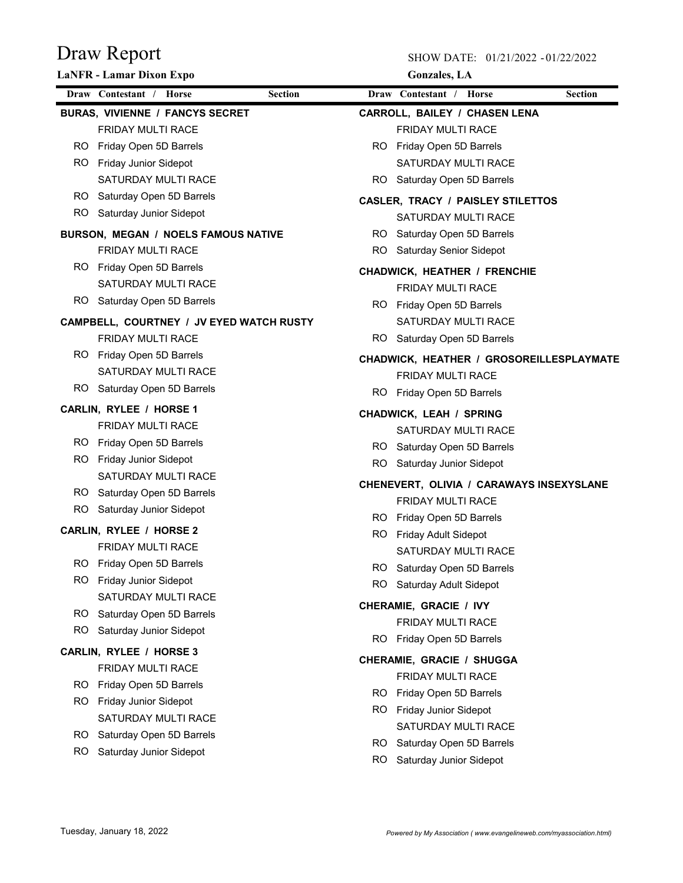|     | <b>LaNFR</b> - Lamar Dixon Expo                       |                |     | <b>Gonzales</b> , LA                                                 |                |
|-----|-------------------------------------------------------|----------------|-----|----------------------------------------------------------------------|----------------|
|     | Draw Contestant / Horse                               | <b>Section</b> |     | Draw Contestant / Horse                                              | <b>Section</b> |
|     | <b>BURAS, VIVIENNE / FANCYS SECRET</b>                |                |     | <b>CARROLL, BAILEY / CHASEN LENA</b>                                 |                |
|     | <b>FRIDAY MULTI RACE</b>                              |                |     | <b>FRIDAY MULTI RACE</b>                                             |                |
|     | RO Friday Open 5D Barrels                             |                |     | RO Friday Open 5D Barrels                                            |                |
|     | RO Friday Junior Sidepot                              |                |     | SATURDAY MULTI RACE                                                  |                |
|     | <b>SATURDAY MULTI RACE</b>                            |                |     | RO Saturday Open 5D Barrels                                          |                |
|     | RO Saturday Open 5D Barrels                           |                |     | <b>CASLER, TRACY / PAISLEY STILETTOS</b>                             |                |
|     | RO Saturday Junior Sidepot                            |                |     | SATURDAY MULTI RACE                                                  |                |
|     | BURSON, MEGAN / NOELS FAMOUS NATIVE                   |                |     | RO Saturday Open 5D Barrels                                          |                |
|     | <b>FRIDAY MULTI RACE</b>                              |                |     | RO Saturday Senior Sidepot                                           |                |
|     | RO Friday Open 5D Barrels                             |                |     | <b>CHADWICK, HEATHER / FRENCHIE</b>                                  |                |
|     | <b>SATURDAY MULTI RACE</b>                            |                |     | FRIDAY MULTI RACE                                                    |                |
|     | RO Saturday Open 5D Barrels                           |                |     | RO Friday Open 5D Barrels                                            |                |
|     | CAMPBELL, COURTNEY / JV EYED WATCH RUSTY              |                |     | SATURDAY MULTI RACE                                                  |                |
|     | <b>FRIDAY MULTI RACE</b>                              |                |     | RO Saturday Open 5D Barrels                                          |                |
|     | RO Friday Open 5D Barrels                             |                |     |                                                                      |                |
|     | <b>SATURDAY MULTI RACE</b>                            |                |     | CHADWICK, HEATHER / GROSOREILLESPLAYMATE<br><b>FRIDAY MULTI RACE</b> |                |
|     | RO Saturday Open 5D Barrels                           |                |     |                                                                      |                |
|     | CARLIN, RYLEE / HORSE 1                               |                |     | RO Friday Open 5D Barrels                                            |                |
|     | FRIDAY MULTI RACE                                     |                |     | <b>CHADWICK, LEAH / SPRING</b>                                       |                |
|     | RO Friday Open 5D Barrels                             |                |     | SATURDAY MULTI RACE                                                  |                |
| RO. | <b>Friday Junior Sidepot</b>                          |                |     | RO Saturday Open 5D Barrels                                          |                |
|     | <b>SATURDAY MULTI RACE</b>                            |                | RO. | Saturday Junior Sidepot                                              |                |
|     | RO Saturday Open 5D Barrels                           |                |     | CHENEVERT, OLIVIA / CARAWAYS INSEXYSLANE                             |                |
|     | RO Saturday Junior Sidepot                            |                |     | <b>FRIDAY MULTI RACE</b>                                             |                |
|     |                                                       |                |     | RO Friday Open 5D Barrels                                            |                |
|     | CARLIN, RYLEE / HORSE 2                               |                | RO. | <b>Friday Adult Sidepot</b>                                          |                |
|     | <b>FRIDAY MULTI RACE</b>                              |                |     | SATURDAY MULTI RACE                                                  |                |
|     | RO Friday Open 5D Barrels<br>RO Friday Junior Sidepot |                |     | Saturday Open 5D Barrels                                             |                |
|     | SATURDAY MULTI RACE                                   |                | RO. | Saturday Adult Sidepot                                               |                |
| RO. | Saturday Open 5D Barrels                              |                |     | CHERAMIE, GRACIE / IVY                                               |                |
| RO. | Saturday Junior Sidepot                               |                |     | <b>FRIDAY MULTI RACE</b>                                             |                |
|     |                                                       |                | RO. | Friday Open 5D Barrels                                               |                |
|     | CARLIN, RYLEE / HORSE 3                               |                |     | CHERAMIE, GRACIE / SHUGGA                                            |                |
|     | FRIDAY MULTI RACE                                     |                |     | <b>FRIDAY MULTI RACE</b>                                             |                |
|     | RO Friday Open 5D Barrels                             |                | RO. | Friday Open 5D Barrels                                               |                |
| RO. | <b>Friday Junior Sidepot</b>                          |                | RO. | <b>Friday Junior Sidepot</b>                                         |                |
|     | SATURDAY MULTI RACE                                   |                |     | SATURDAY MULTI RACE                                                  |                |
| RO. | Saturday Open 5D Barrels                              |                | RO. | Saturday Open 5D Barrels                                             |                |
| RO. | Saturday Junior Sidepot                               |                | RO. | Saturday Junior Sidepot                                              |                |
|     |                                                       |                |     |                                                                      |                |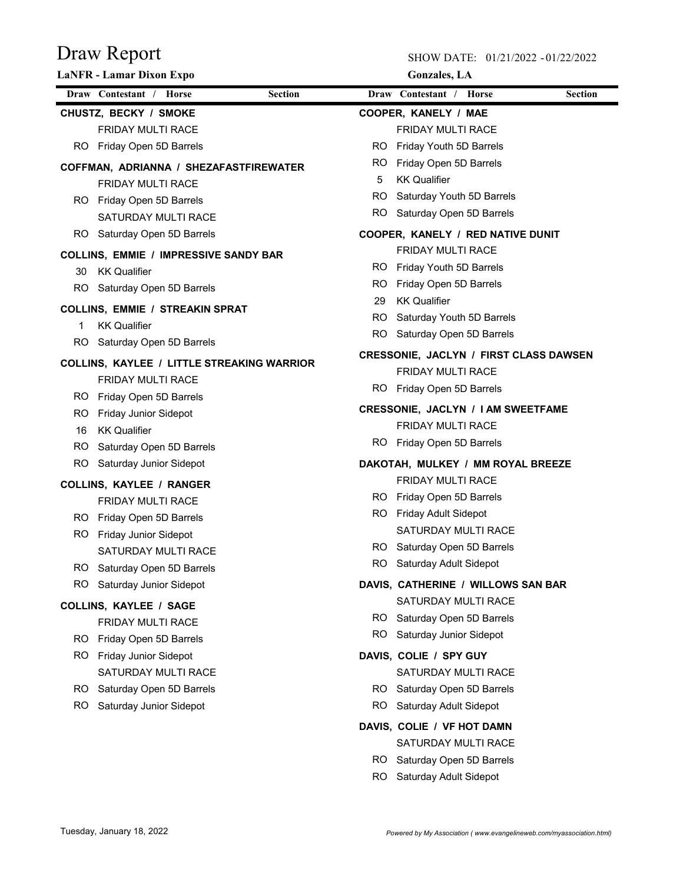|     | <b>LaNFR</b> - Lamar Dixon Expo                                               |                |     | <b>Gonzales</b> , LA                            |                |
|-----|-------------------------------------------------------------------------------|----------------|-----|-------------------------------------------------|----------------|
|     | Draw Contestant / Horse                                                       | <b>Section</b> |     | Draw Contestant / Horse                         | <b>Section</b> |
|     | CHUSTZ, BECKY / SMOKE                                                         |                |     | COOPER, KANELY / MAE                            |                |
|     | FRIDAY MULTI RACE                                                             |                |     | FRIDAY MULTI RACE                               |                |
|     | RO Friday Open 5D Barrels                                                     |                | RO. | Friday Youth 5D Barrels                         |                |
|     | COFFMAN, ADRIANNA / SHEZAFASTFIREWATER                                        |                | RO. | Friday Open 5D Barrels                          |                |
|     | <b>FRIDAY MULTI RACE</b>                                                      |                | 5   | <b>KK Qualifier</b>                             |                |
|     | RO Friday Open 5D Barrels                                                     |                | RO. | Saturday Youth 5D Barrels                       |                |
|     | SATURDAY MULTI RACE                                                           |                |     | RO Saturday Open 5D Barrels                     |                |
|     | RO Saturday Open 5D Barrels                                                   |                |     | COOPER, KANELY / RED NATIVE DUNIT               |                |
|     | <b>COLLINS, EMMIE / IMPRESSIVE SANDY BAR</b>                                  |                |     | <b>FRIDAY MULTI RACE</b>                        |                |
|     | 30 KK Qualifier                                                               |                | RO. | Friday Youth 5D Barrels                         |                |
|     | RO Saturday Open 5D Barrels                                                   |                | RO. | Friday Open 5D Barrels                          |                |
|     | <b>COLLINS, EMMIE / STREAKIN SPRAT</b>                                        |                | 29  | <b>KK Qualifier</b>                             |                |
| 1   | <b>KK Qualifier</b>                                                           |                | RO. | Saturday Youth 5D Barrels                       |                |
| RO. | Saturday Open 5D Barrels                                                      |                | RO. | Saturday Open 5D Barrels                        |                |
|     |                                                                               |                |     | <b>CRESSONIE, JACLYN / FIRST CLASS DAWSEN</b>   |                |
|     | <b>COLLINS, KAYLEE / LITTLE STREAKING WARRIOR</b><br><b>FRIDAY MULTI RACE</b> |                |     | FRIDAY MULTI RACE                               |                |
|     |                                                                               |                | RO. | Friday Open 5D Barrels                          |                |
|     | RO Friday Open 5D Barrels<br>RO Friday Junior Sidepot                         |                |     | CRESSONIE, JACLYN / I AM SWEETFAME              |                |
| 16  | <b>KK Qualifier</b>                                                           |                |     | <b>FRIDAY MULTI RACE</b>                        |                |
| RO. | Saturday Open 5D Barrels                                                      |                |     | RO Friday Open 5D Barrels                       |                |
| RO. | Saturday Junior Sidepot                                                       |                |     | DAKOTAH, MULKEY / MM ROYAL BREEZE               |                |
|     |                                                                               |                |     | <b>FRIDAY MULTI RACE</b>                        |                |
|     | <b>COLLINS, KAYLEE / RANGER</b>                                               |                | RO. | Friday Open 5D Barrels                          |                |
|     | <b>FRIDAY MULTI RACE</b>                                                      |                |     | RO Friday Adult Sidepot                         |                |
|     | RO Friday Open 5D Barrels<br>RO Friday Junior Sidepot                         |                |     | <b>SATURDAY MULTI RACE</b>                      |                |
|     | SATURDAY MULTI RACE                                                           |                |     | RO Saturday Open 5D Barrels                     |                |
| RO. | Saturday Open 5D Barrels                                                      |                |     | RO Saturday Adult Sidepot                       |                |
| RO. | Saturday Junior Sidepot                                                       |                |     | DAVIS, CATHERINE / WILLOWS SAN BAR              |                |
|     |                                                                               |                |     | SATURDAY MULTI RACE                             |                |
|     | <b>COLLINS, KAYLEE / SAGE</b>                                                 |                |     | RO Saturday Open 5D Barrels                     |                |
|     | <b>FRIDAY MULTI RACE</b>                                                      |                | RO. | Saturday Junior Sidepot                         |                |
|     | RO Friday Open 5D Barrels                                                     |                |     |                                                 |                |
| ROI | Friday Junior Sidepot                                                         |                |     | DAVIS, COLIE / SPY GUY                          |                |
|     | SATURDAY MULTI RACE<br>RO Saturday Open 5D Barrels                            |                | RO. | SATURDAY MULTI RACE<br>Saturday Open 5D Barrels |                |
| RO. | Saturday Junior Sidepot                                                       |                | RO. | Saturday Adult Sidepot                          |                |
|     |                                                                               |                |     |                                                 |                |
|     |                                                                               |                |     | DAVIS, COLIE / VF HOT DAMN                      |                |
|     |                                                                               |                |     | SATURDAY MULTI RACE                             |                |
|     |                                                                               |                |     | RO Saturday Open 5D Barrels                     |                |
|     |                                                                               |                |     | RO Saturday Adult Sidepot                       |                |
|     |                                                                               |                |     |                                                 |                |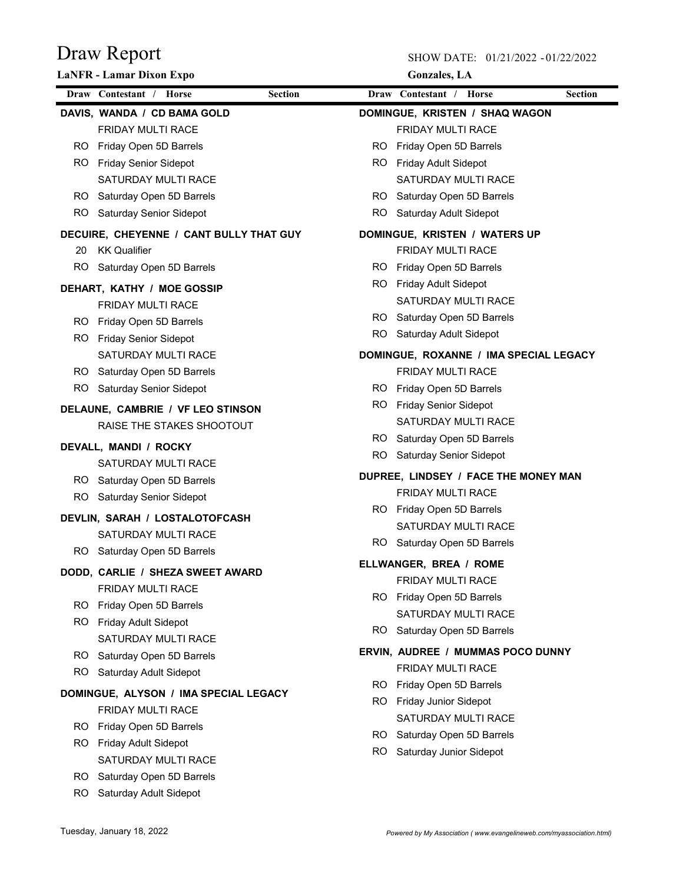|     | <b>LaNFR</b> - Lamar Dixon Expo         |                | <b>Gonzales</b> , LA                   |                |
|-----|-----------------------------------------|----------------|----------------------------------------|----------------|
|     | Draw Contestant / Horse                 | <b>Section</b> | Draw Contestant / Horse                | <b>Section</b> |
|     | DAVIS, WANDA / CD BAMA GOLD             |                | DOMINGUE, KRISTEN / SHAQ WAGON         |                |
|     | <b>FRIDAY MULTI RACE</b>                |                | <b>FRIDAY MULTI RACE</b>               |                |
|     | RO Friday Open 5D Barrels               |                | RO Friday Open 5D Barrels              |                |
|     | RO Friday Senior Sidepot                |                | RO Friday Adult Sidepot                |                |
|     | SATURDAY MULTI RACE                     |                | <b>SATURDAY MULTI RACE</b>             |                |
|     | RO Saturday Open 5D Barrels             |                | RO Saturday Open 5D Barrels            |                |
|     | RO Saturday Senior Sidepot              | RO.            | Saturday Adult Sidepot                 |                |
|     | DECUIRE, CHEYENNE / CANT BULLY THAT GUY |                | DOMINGUE, KRISTEN / WATERS UP          |                |
| 20  | <b>KK Qualifier</b>                     |                | <b>FRIDAY MULTI RACE</b>               |                |
|     | RO Saturday Open 5D Barrels             | RO.            | Friday Open 5D Barrels                 |                |
|     | DEHART, KATHY / MOE GOSSIP              |                | RO Friday Adult Sidepot                |                |
|     | <b>FRIDAY MULTI RACE</b>                |                | <b>SATURDAY MULTI RACE</b>             |                |
|     | RO Friday Open 5D Barrels               |                | RO Saturday Open 5D Barrels            |                |
|     | RO Friday Senior Sidepot                |                | RO Saturday Adult Sidepot              |                |
|     | SATURDAY MULTI RACE                     |                | DOMINGUE, ROXANNE / IMA SPECIAL LEGACY |                |
|     | RO Saturday Open 5D Barrels             |                | <b>FRIDAY MULTI RACE</b>               |                |
|     | RO Saturday Senior Sidepot              |                | RO Friday Open 5D Barrels              |                |
|     | DELAUNE, CAMBRIE / VF LEO STINSON       |                | RO Friday Senior Sidepot               |                |
|     | RAISE THE STAKES SHOOTOUT               |                | SATURDAY MULTI RACE                    |                |
|     | DEVALL, MANDI / ROCKY                   |                | RO Saturday Open 5D Barrels            |                |
|     | <b>SATURDAY MULTI RACE</b>              | RO.            | Saturday Senior Sidepot                |                |
|     | RO Saturday Open 5D Barrels             |                | DUPREE, LINDSEY / FACE THE MONEY MAN   |                |
|     | RO Saturday Senior Sidepot              |                | <b>FRIDAY MULTI RACE</b>               |                |
|     |                                         |                | RO Friday Open 5D Barrels              |                |
|     | DEVLIN, SARAH / LOSTALOTOFCASH          |                | SATURDAY MULTI RACE                    |                |
|     | SATURDAY MULTI RACE                     |                | RO Saturday Open 5D Barrels            |                |
|     | RO Saturday Open 5D Barrels             |                | ELLWANGER, BREA / ROME                 |                |
|     | DODD, CARLIE / SHEZA SWEET AWARD        |                | <b>FRIDAY MULTI RACE</b>               |                |
|     | <b>FRIDAY MULTI RACE</b>                |                | RO Friday Open 5D Barrels              |                |
|     | RO Friday Open 5D Barrels               |                | SATURDAY MULTI RACE                    |                |
|     | RO Friday Adult Sidepot                 |                | RO Saturday Open 5D Barrels            |                |
|     | SATURDAY MULTI RACE                     |                | ERVIN, AUDREE / MUMMAS POCO DUNNY      |                |
|     | RO Saturday Open 5D Barrels             |                | FRIDAY MULTI RACE                      |                |
|     | RO Saturday Adult Sidepot               | RO.            | Friday Open 5D Barrels                 |                |
|     | DOMINGUE, ALYSON / IMA SPECIAL LEGACY   | RO.            | <b>Friday Junior Sidepot</b>           |                |
|     | <b>FRIDAY MULTI RACE</b>                |                | SATURDAY MULTI RACE                    |                |
|     | RO Friday Open 5D Barrels               |                | RO Saturday Open 5D Barrels            |                |
|     | RO Friday Adult Sidepot                 |                | RO Saturday Junior Sidepot             |                |
|     | SATURDAY MULTI RACE                     |                |                                        |                |
|     | RO Saturday Open 5D Barrels             |                |                                        |                |
| RO. | Saturday Adult Sidepot                  |                |                                        |                |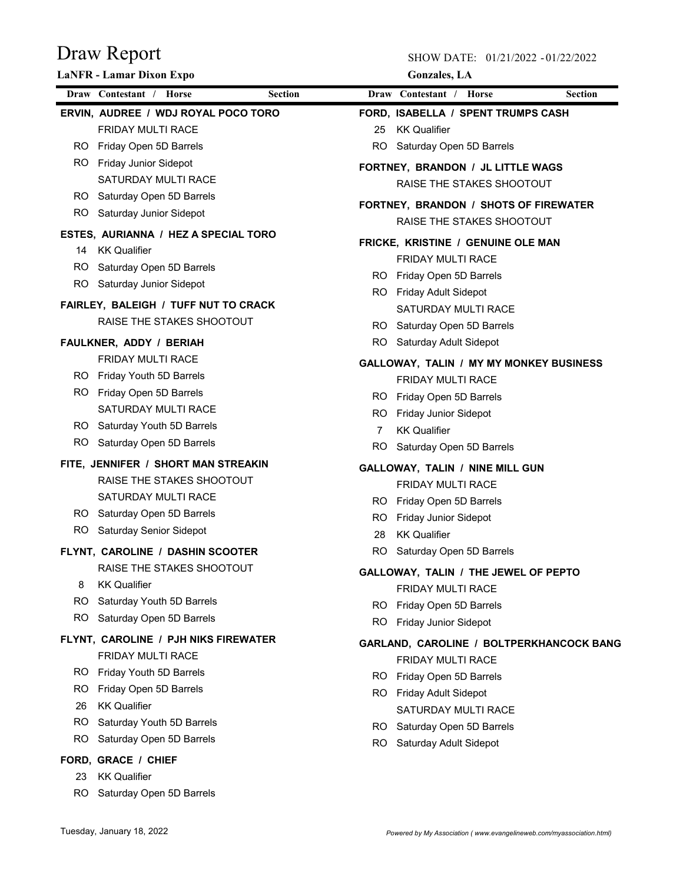| Draw Contestant / Horse<br><b>Section</b><br>Draw Contestant / Horse<br><b>Section</b><br>ERVIN, AUDREE / WDJ ROYAL POCO TORO<br>FORD, ISABELLA / SPENT TRUMPS CASH<br><b>FRIDAY MULTI RACE</b><br><b>KK Qualifier</b><br>25<br>RO Friday Open 5D Barrels<br>RO Saturday Open 5D Barrels<br><b>Friday Junior Sidepot</b><br>RO.<br>FORTNEY, BRANDON / JL LITTLE WAGS<br>SATURDAY MULTI RACE<br>RAISE THE STAKES SHOOTOUT<br>RO Saturday Open 5D Barrels<br>FORTNEY, BRANDON / SHOTS OF FIREWATER<br>RO Saturday Junior Sidepot<br>RAISE THE STAKES SHOOTOUT<br>ESTES, AURIANNA / HEZ A SPECIAL TORO<br>FRICKE, KRISTINE / GENUINE OLE MAN<br>14 KK Qualifier<br><b>FRIDAY MULTI RACE</b><br>RO Saturday Open 5D Barrels<br>RO Friday Open 5D Barrels<br>RO Saturday Junior Sidepot<br>RO Friday Adult Sidepot<br>FAIRLEY, BALEIGH / TUFF NUT TO CRACK<br>SATURDAY MULTI RACE<br>RAISE THE STAKES SHOOTOUT<br>RO Saturday Open 5D Barrels<br>RO Saturday Adult Sidepot<br>FAULKNER, ADDY / BERIAH<br><b>FRIDAY MULTI RACE</b><br>GALLOWAY, TALIN / MY MY MONKEY BUSINESS<br>RO Friday Youth 5D Barrels<br><b>FRIDAY MULTI RACE</b><br>RO Friday Open 5D Barrels<br>RO Friday Open 5D Barrels<br>SATURDAY MULTI RACE<br>RO Friday Junior Sidepot<br>RO Saturday Youth 5D Barrels<br><b>KK Qualifier</b><br>7<br>RO Saturday Open 5D Barrels<br>RO.<br>Saturday Open 5D Barrels<br>FITE, JENNIFER / SHORT MAN STREAKIN<br>GALLOWAY, TALIN / NINE MILL GUN<br>RAISE THE STAKES SHOOTOUT<br>FRIDAY MULTI RACE<br>SATURDAY MULTI RACE<br>Friday Open 5D Barrels<br>RO.<br>RO Saturday Open 5D Barrels<br><b>Friday Junior Sidepot</b><br>RO<br>RO Saturday Senior Sidepot<br><b>KK Qualifier</b><br>28<br>Saturday Open 5D Barrels<br>FLYNT, CAROLINE / DASHIN SCOOTER<br>RO.<br>RAISE THE STAKES SHOOTOUT<br>GALLOWAY, TALIN / THE JEWEL OF PEPTO<br>8<br><b>KK Qualifier</b><br>FRIDAY MULTI RACE<br>RO.<br>Saturday Youth 5D Barrels<br>RO Friday Open 5D Barrels<br>RO Saturday Open 5D Barrels<br>RO Friday Junior Sidepot<br>FLYNT, CAROLINE / PJH NIKS FIREWATER<br>FRIDAY MULTI RACE<br>FRIDAY MULTI RACE<br>RO Friday Youth 5D Barrels<br>Friday Open 5D Barrels<br>RO.<br>RO.<br>Friday Open 5D Barrels<br>RO Friday Adult Sidepot<br><b>KK Qualifier</b><br>26<br>SATURDAY MULTI RACE<br>RO.<br>Saturday Youth 5D Barrels<br>RO Saturday Open 5D Barrels<br>RO.<br>Saturday Open 5D Barrels<br>RO.<br>Saturday Adult Sidepot | <b>LaNFR</b> - Lamar Dixon Expo | <b>Gonzales</b> , LA |  |
|-----------------------------------------------------------------------------------------------------------------------------------------------------------------------------------------------------------------------------------------------------------------------------------------------------------------------------------------------------------------------------------------------------------------------------------------------------------------------------------------------------------------------------------------------------------------------------------------------------------------------------------------------------------------------------------------------------------------------------------------------------------------------------------------------------------------------------------------------------------------------------------------------------------------------------------------------------------------------------------------------------------------------------------------------------------------------------------------------------------------------------------------------------------------------------------------------------------------------------------------------------------------------------------------------------------------------------------------------------------------------------------------------------------------------------------------------------------------------------------------------------------------------------------------------------------------------------------------------------------------------------------------------------------------------------------------------------------------------------------------------------------------------------------------------------------------------------------------------------------------------------------------------------------------------------------------------------------------------------------------------------------------------------------------------------------------------------------------------------------------------------------------------------------------------------------------------------------------------------------------------------------------------------------------------------------------------------------------------------------------------------------------------------------------------------------|---------------------------------|----------------------|--|
|                                                                                                                                                                                                                                                                                                                                                                                                                                                                                                                                                                                                                                                                                                                                                                                                                                                                                                                                                                                                                                                                                                                                                                                                                                                                                                                                                                                                                                                                                                                                                                                                                                                                                                                                                                                                                                                                                                                                                                                                                                                                                                                                                                                                                                                                                                                                                                                                                                   |                                 |                      |  |
|                                                                                                                                                                                                                                                                                                                                                                                                                                                                                                                                                                                                                                                                                                                                                                                                                                                                                                                                                                                                                                                                                                                                                                                                                                                                                                                                                                                                                                                                                                                                                                                                                                                                                                                                                                                                                                                                                                                                                                                                                                                                                                                                                                                                                                                                                                                                                                                                                                   |                                 |                      |  |
|                                                                                                                                                                                                                                                                                                                                                                                                                                                                                                                                                                                                                                                                                                                                                                                                                                                                                                                                                                                                                                                                                                                                                                                                                                                                                                                                                                                                                                                                                                                                                                                                                                                                                                                                                                                                                                                                                                                                                                                                                                                                                                                                                                                                                                                                                                                                                                                                                                   |                                 |                      |  |
|                                                                                                                                                                                                                                                                                                                                                                                                                                                                                                                                                                                                                                                                                                                                                                                                                                                                                                                                                                                                                                                                                                                                                                                                                                                                                                                                                                                                                                                                                                                                                                                                                                                                                                                                                                                                                                                                                                                                                                                                                                                                                                                                                                                                                                                                                                                                                                                                                                   |                                 |                      |  |
|                                                                                                                                                                                                                                                                                                                                                                                                                                                                                                                                                                                                                                                                                                                                                                                                                                                                                                                                                                                                                                                                                                                                                                                                                                                                                                                                                                                                                                                                                                                                                                                                                                                                                                                                                                                                                                                                                                                                                                                                                                                                                                                                                                                                                                                                                                                                                                                                                                   |                                 |                      |  |
|                                                                                                                                                                                                                                                                                                                                                                                                                                                                                                                                                                                                                                                                                                                                                                                                                                                                                                                                                                                                                                                                                                                                                                                                                                                                                                                                                                                                                                                                                                                                                                                                                                                                                                                                                                                                                                                                                                                                                                                                                                                                                                                                                                                                                                                                                                                                                                                                                                   |                                 |                      |  |
|                                                                                                                                                                                                                                                                                                                                                                                                                                                                                                                                                                                                                                                                                                                                                                                                                                                                                                                                                                                                                                                                                                                                                                                                                                                                                                                                                                                                                                                                                                                                                                                                                                                                                                                                                                                                                                                                                                                                                                                                                                                                                                                                                                                                                                                                                                                                                                                                                                   |                                 |                      |  |
|                                                                                                                                                                                                                                                                                                                                                                                                                                                                                                                                                                                                                                                                                                                                                                                                                                                                                                                                                                                                                                                                                                                                                                                                                                                                                                                                                                                                                                                                                                                                                                                                                                                                                                                                                                                                                                                                                                                                                                                                                                                                                                                                                                                                                                                                                                                                                                                                                                   |                                 |                      |  |
|                                                                                                                                                                                                                                                                                                                                                                                                                                                                                                                                                                                                                                                                                                                                                                                                                                                                                                                                                                                                                                                                                                                                                                                                                                                                                                                                                                                                                                                                                                                                                                                                                                                                                                                                                                                                                                                                                                                                                                                                                                                                                                                                                                                                                                                                                                                                                                                                                                   |                                 |                      |  |
|                                                                                                                                                                                                                                                                                                                                                                                                                                                                                                                                                                                                                                                                                                                                                                                                                                                                                                                                                                                                                                                                                                                                                                                                                                                                                                                                                                                                                                                                                                                                                                                                                                                                                                                                                                                                                                                                                                                                                                                                                                                                                                                                                                                                                                                                                                                                                                                                                                   |                                 |                      |  |
|                                                                                                                                                                                                                                                                                                                                                                                                                                                                                                                                                                                                                                                                                                                                                                                                                                                                                                                                                                                                                                                                                                                                                                                                                                                                                                                                                                                                                                                                                                                                                                                                                                                                                                                                                                                                                                                                                                                                                                                                                                                                                                                                                                                                                                                                                                                                                                                                                                   |                                 |                      |  |
|                                                                                                                                                                                                                                                                                                                                                                                                                                                                                                                                                                                                                                                                                                                                                                                                                                                                                                                                                                                                                                                                                                                                                                                                                                                                                                                                                                                                                                                                                                                                                                                                                                                                                                                                                                                                                                                                                                                                                                                                                                                                                                                                                                                                                                                                                                                                                                                                                                   |                                 |                      |  |
|                                                                                                                                                                                                                                                                                                                                                                                                                                                                                                                                                                                                                                                                                                                                                                                                                                                                                                                                                                                                                                                                                                                                                                                                                                                                                                                                                                                                                                                                                                                                                                                                                                                                                                                                                                                                                                                                                                                                                                                                                                                                                                                                                                                                                                                                                                                                                                                                                                   |                                 |                      |  |
|                                                                                                                                                                                                                                                                                                                                                                                                                                                                                                                                                                                                                                                                                                                                                                                                                                                                                                                                                                                                                                                                                                                                                                                                                                                                                                                                                                                                                                                                                                                                                                                                                                                                                                                                                                                                                                                                                                                                                                                                                                                                                                                                                                                                                                                                                                                                                                                                                                   |                                 |                      |  |
|                                                                                                                                                                                                                                                                                                                                                                                                                                                                                                                                                                                                                                                                                                                                                                                                                                                                                                                                                                                                                                                                                                                                                                                                                                                                                                                                                                                                                                                                                                                                                                                                                                                                                                                                                                                                                                                                                                                                                                                                                                                                                                                                                                                                                                                                                                                                                                                                                                   |                                 |                      |  |
|                                                                                                                                                                                                                                                                                                                                                                                                                                                                                                                                                                                                                                                                                                                                                                                                                                                                                                                                                                                                                                                                                                                                                                                                                                                                                                                                                                                                                                                                                                                                                                                                                                                                                                                                                                                                                                                                                                                                                                                                                                                                                                                                                                                                                                                                                                                                                                                                                                   |                                 |                      |  |
|                                                                                                                                                                                                                                                                                                                                                                                                                                                                                                                                                                                                                                                                                                                                                                                                                                                                                                                                                                                                                                                                                                                                                                                                                                                                                                                                                                                                                                                                                                                                                                                                                                                                                                                                                                                                                                                                                                                                                                                                                                                                                                                                                                                                                                                                                                                                                                                                                                   |                                 |                      |  |
|                                                                                                                                                                                                                                                                                                                                                                                                                                                                                                                                                                                                                                                                                                                                                                                                                                                                                                                                                                                                                                                                                                                                                                                                                                                                                                                                                                                                                                                                                                                                                                                                                                                                                                                                                                                                                                                                                                                                                                                                                                                                                                                                                                                                                                                                                                                                                                                                                                   |                                 |                      |  |
|                                                                                                                                                                                                                                                                                                                                                                                                                                                                                                                                                                                                                                                                                                                                                                                                                                                                                                                                                                                                                                                                                                                                                                                                                                                                                                                                                                                                                                                                                                                                                                                                                                                                                                                                                                                                                                                                                                                                                                                                                                                                                                                                                                                                                                                                                                                                                                                                                                   |                                 |                      |  |
| GARLAND, CAROLINE / BOLTPERKHANCOCK BANG                                                                                                                                                                                                                                                                                                                                                                                                                                                                                                                                                                                                                                                                                                                                                                                                                                                                                                                                                                                                                                                                                                                                                                                                                                                                                                                                                                                                                                                                                                                                                                                                                                                                                                                                                                                                                                                                                                                                                                                                                                                                                                                                                                                                                                                                                                                                                                                          |                                 |                      |  |
|                                                                                                                                                                                                                                                                                                                                                                                                                                                                                                                                                                                                                                                                                                                                                                                                                                                                                                                                                                                                                                                                                                                                                                                                                                                                                                                                                                                                                                                                                                                                                                                                                                                                                                                                                                                                                                                                                                                                                                                                                                                                                                                                                                                                                                                                                                                                                                                                                                   |                                 |                      |  |
|                                                                                                                                                                                                                                                                                                                                                                                                                                                                                                                                                                                                                                                                                                                                                                                                                                                                                                                                                                                                                                                                                                                                                                                                                                                                                                                                                                                                                                                                                                                                                                                                                                                                                                                                                                                                                                                                                                                                                                                                                                                                                                                                                                                                                                                                                                                                                                                                                                   |                                 |                      |  |
|                                                                                                                                                                                                                                                                                                                                                                                                                                                                                                                                                                                                                                                                                                                                                                                                                                                                                                                                                                                                                                                                                                                                                                                                                                                                                                                                                                                                                                                                                                                                                                                                                                                                                                                                                                                                                                                                                                                                                                                                                                                                                                                                                                                                                                                                                                                                                                                                                                   |                                 |                      |  |
|                                                                                                                                                                                                                                                                                                                                                                                                                                                                                                                                                                                                                                                                                                                                                                                                                                                                                                                                                                                                                                                                                                                                                                                                                                                                                                                                                                                                                                                                                                                                                                                                                                                                                                                                                                                                                                                                                                                                                                                                                                                                                                                                                                                                                                                                                                                                                                                                                                   |                                 |                      |  |
|                                                                                                                                                                                                                                                                                                                                                                                                                                                                                                                                                                                                                                                                                                                                                                                                                                                                                                                                                                                                                                                                                                                                                                                                                                                                                                                                                                                                                                                                                                                                                                                                                                                                                                                                                                                                                                                                                                                                                                                                                                                                                                                                                                                                                                                                                                                                                                                                                                   |                                 |                      |  |
|                                                                                                                                                                                                                                                                                                                                                                                                                                                                                                                                                                                                                                                                                                                                                                                                                                                                                                                                                                                                                                                                                                                                                                                                                                                                                                                                                                                                                                                                                                                                                                                                                                                                                                                                                                                                                                                                                                                                                                                                                                                                                                                                                                                                                                                                                                                                                                                                                                   |                                 |                      |  |
|                                                                                                                                                                                                                                                                                                                                                                                                                                                                                                                                                                                                                                                                                                                                                                                                                                                                                                                                                                                                                                                                                                                                                                                                                                                                                                                                                                                                                                                                                                                                                                                                                                                                                                                                                                                                                                                                                                                                                                                                                                                                                                                                                                                                                                                                                                                                                                                                                                   |                                 |                      |  |
|                                                                                                                                                                                                                                                                                                                                                                                                                                                                                                                                                                                                                                                                                                                                                                                                                                                                                                                                                                                                                                                                                                                                                                                                                                                                                                                                                                                                                                                                                                                                                                                                                                                                                                                                                                                                                                                                                                                                                                                                                                                                                                                                                                                                                                                                                                                                                                                                                                   |                                 |                      |  |
|                                                                                                                                                                                                                                                                                                                                                                                                                                                                                                                                                                                                                                                                                                                                                                                                                                                                                                                                                                                                                                                                                                                                                                                                                                                                                                                                                                                                                                                                                                                                                                                                                                                                                                                                                                                                                                                                                                                                                                                                                                                                                                                                                                                                                                                                                                                                                                                                                                   |                                 |                      |  |
|                                                                                                                                                                                                                                                                                                                                                                                                                                                                                                                                                                                                                                                                                                                                                                                                                                                                                                                                                                                                                                                                                                                                                                                                                                                                                                                                                                                                                                                                                                                                                                                                                                                                                                                                                                                                                                                                                                                                                                                                                                                                                                                                                                                                                                                                                                                                                                                                                                   |                                 |                      |  |
|                                                                                                                                                                                                                                                                                                                                                                                                                                                                                                                                                                                                                                                                                                                                                                                                                                                                                                                                                                                                                                                                                                                                                                                                                                                                                                                                                                                                                                                                                                                                                                                                                                                                                                                                                                                                                                                                                                                                                                                                                                                                                                                                                                                                                                                                                                                                                                                                                                   |                                 |                      |  |
|                                                                                                                                                                                                                                                                                                                                                                                                                                                                                                                                                                                                                                                                                                                                                                                                                                                                                                                                                                                                                                                                                                                                                                                                                                                                                                                                                                                                                                                                                                                                                                                                                                                                                                                                                                                                                                                                                                                                                                                                                                                                                                                                                                                                                                                                                                                                                                                                                                   |                                 |                      |  |
|                                                                                                                                                                                                                                                                                                                                                                                                                                                                                                                                                                                                                                                                                                                                                                                                                                                                                                                                                                                                                                                                                                                                                                                                                                                                                                                                                                                                                                                                                                                                                                                                                                                                                                                                                                                                                                                                                                                                                                                                                                                                                                                                                                                                                                                                                                                                                                                                                                   |                                 |                      |  |
|                                                                                                                                                                                                                                                                                                                                                                                                                                                                                                                                                                                                                                                                                                                                                                                                                                                                                                                                                                                                                                                                                                                                                                                                                                                                                                                                                                                                                                                                                                                                                                                                                                                                                                                                                                                                                                                                                                                                                                                                                                                                                                                                                                                                                                                                                                                                                                                                                                   |                                 |                      |  |
|                                                                                                                                                                                                                                                                                                                                                                                                                                                                                                                                                                                                                                                                                                                                                                                                                                                                                                                                                                                                                                                                                                                                                                                                                                                                                                                                                                                                                                                                                                                                                                                                                                                                                                                                                                                                                                                                                                                                                                                                                                                                                                                                                                                                                                                                                                                                                                                                                                   |                                 |                      |  |
|                                                                                                                                                                                                                                                                                                                                                                                                                                                                                                                                                                                                                                                                                                                                                                                                                                                                                                                                                                                                                                                                                                                                                                                                                                                                                                                                                                                                                                                                                                                                                                                                                                                                                                                                                                                                                                                                                                                                                                                                                                                                                                                                                                                                                                                                                                                                                                                                                                   |                                 |                      |  |
|                                                                                                                                                                                                                                                                                                                                                                                                                                                                                                                                                                                                                                                                                                                                                                                                                                                                                                                                                                                                                                                                                                                                                                                                                                                                                                                                                                                                                                                                                                                                                                                                                                                                                                                                                                                                                                                                                                                                                                                                                                                                                                                                                                                                                                                                                                                                                                                                                                   |                                 |                      |  |
|                                                                                                                                                                                                                                                                                                                                                                                                                                                                                                                                                                                                                                                                                                                                                                                                                                                                                                                                                                                                                                                                                                                                                                                                                                                                                                                                                                                                                                                                                                                                                                                                                                                                                                                                                                                                                                                                                                                                                                                                                                                                                                                                                                                                                                                                                                                                                                                                                                   |                                 |                      |  |
| FORD, GRACE / CHIEF                                                                                                                                                                                                                                                                                                                                                                                                                                                                                                                                                                                                                                                                                                                                                                                                                                                                                                                                                                                                                                                                                                                                                                                                                                                                                                                                                                                                                                                                                                                                                                                                                                                                                                                                                                                                                                                                                                                                                                                                                                                                                                                                                                                                                                                                                                                                                                                                               |                                 |                      |  |
| <b>KK Qualifier</b><br>23                                                                                                                                                                                                                                                                                                                                                                                                                                                                                                                                                                                                                                                                                                                                                                                                                                                                                                                                                                                                                                                                                                                                                                                                                                                                                                                                                                                                                                                                                                                                                                                                                                                                                                                                                                                                                                                                                                                                                                                                                                                                                                                                                                                                                                                                                                                                                                                                         |                                 |                      |  |
| RO Saturday Open 5D Barrels                                                                                                                                                                                                                                                                                                                                                                                                                                                                                                                                                                                                                                                                                                                                                                                                                                                                                                                                                                                                                                                                                                                                                                                                                                                                                                                                                                                                                                                                                                                                                                                                                                                                                                                                                                                                                                                                                                                                                                                                                                                                                                                                                                                                                                                                                                                                                                                                       |                                 |                      |  |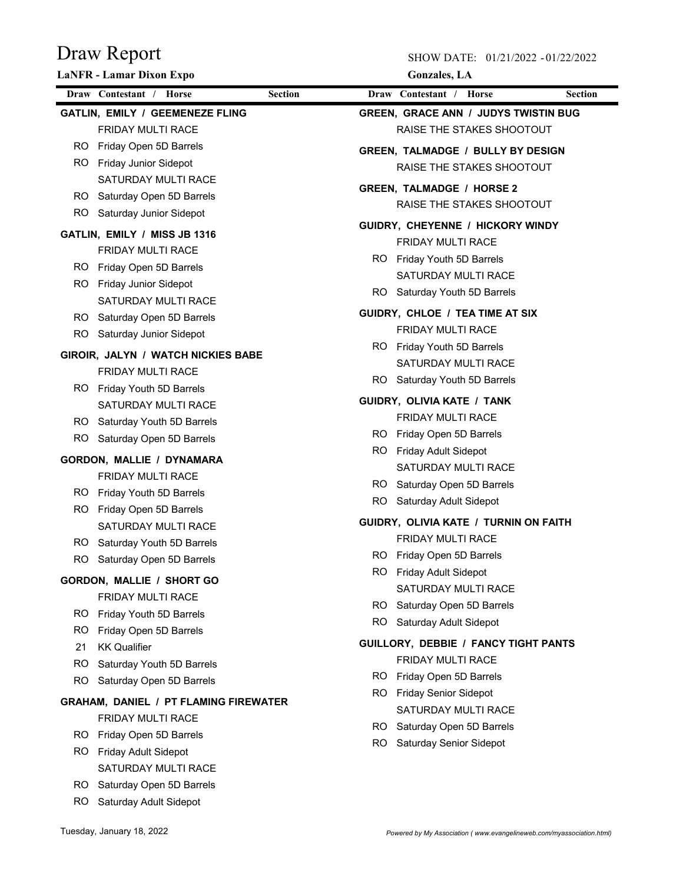SHOW DATE: 01/21/2022 - 01/22/2022

|     | <b>LaNFR</b> - Lamar Dixon Expo              | <b>Gonzales</b> , LA                        |
|-----|----------------------------------------------|---------------------------------------------|
|     | Draw Contestant / Horse<br><b>Section</b>    | Draw Contestant / Horse<br><b>Section</b>   |
|     | <b>GATLIN, EMILY / GEEMENEZE FLING</b>       | <b>GREEN, GRACE ANN / JUDYS TWISTIN BUG</b> |
|     | FRIDAY MULTI RACE                            | RAISE THE STAKES SHOOTOUT                   |
|     | RO Friday Open 5D Barrels                    | <b>GREEN, TALMADGE / BULLY BY DESIGN</b>    |
|     | RO Friday Junior Sidepot                     | RAISE THE STAKES SHOOTOUT                   |
|     | <b>SATURDAY MULTI RACE</b>                   | <b>GREEN, TALMADGE / HORSE 2</b>            |
|     | RO Saturday Open 5D Barrels                  | RAISE THE STAKES SHOOTOUT                   |
|     | RO Saturday Junior Sidepot                   |                                             |
|     | GATLIN, EMILY / MISS JB 1316                 | GUIDRY, CHEYENNE / HICKORY WINDY            |
|     | <b>FRIDAY MULTI RACE</b>                     | <b>FRIDAY MULTI RACE</b>                    |
|     | RO Friday Open 5D Barrels                    | RO Friday Youth 5D Barrels                  |
|     | RO Friday Junior Sidepot                     | SATURDAY MULTI RACE                         |
|     | SATURDAY MULTI RACE                          | RO Saturday Youth 5D Barrels                |
|     | RO Saturday Open 5D Barrels                  | GUIDRY, CHLOE / TEA TIME AT SIX             |
| RO. | Saturday Junior Sidepot                      | <b>FRIDAY MULTI RACE</b>                    |
|     | GIROIR, JALYN / WATCH NICKIES BABE           | RO Friday Youth 5D Barrels                  |
|     | <b>FRIDAY MULTI RACE</b>                     | SATURDAY MULTI RACE                         |
|     | RO Friday Youth 5D Barrels                   | RO Saturday Youth 5D Barrels                |
|     | SATURDAY MULTI RACE                          | GUIDRY, OLIVIA KATE / TANK                  |
|     | RO Saturday Youth 5D Barrels                 | FRIDAY MULTI RACE                           |
| RO. | Saturday Open 5D Barrels                     | RO Friday Open 5D Barrels                   |
|     | GORDON, MALLIE / DYNAMARA                    | RO Friday Adult Sidepot                     |
|     | <b>FRIDAY MULTI RACE</b>                     | SATURDAY MULTI RACE                         |
|     | RO Friday Youth 5D Barrels                   | RO Saturday Open 5D Barrels                 |
|     | RO Friday Open 5D Barrels                    | RO Saturday Adult Sidepot                   |
|     | <b>SATURDAY MULTI RACE</b>                   | GUIDRY, OLIVIA KATE / TURNIN ON FAITH       |
|     | RO Saturday Youth 5D Barrels                 | <b>FRIDAY MULTI RACE</b>                    |
| RO. | Saturday Open 5D Barrels                     | RO Friday Open 5D Barrels                   |
|     | <b>GORDON, MALLIE / SHORT GO</b>             | RO Friday Adult Sidepot                     |
|     | FRIDAY MULTI RACE                            | SATURDAY MULTI RACE                         |
| RO. | Friday Youth 5D Barrels                      | Saturday Open 5D Barrels<br>RO.             |
| RO. | Friday Open 5D Barrels                       | RO.<br>Saturday Adult Sidepot               |
| 21  | <b>KK Qualifier</b>                          | <b>GUILLORY, DEBBIE / FANCY TIGHT PANTS</b> |
| RO. | Saturday Youth 5D Barrels                    | <b>FRIDAY MULTI RACE</b>                    |
| RO. | Saturday Open 5D Barrels                     | RO.<br>Friday Open 5D Barrels               |
|     | <b>GRAHAM, DANIEL / PT FLAMING FIREWATER</b> | RO Friday Senior Sidepot                    |
|     | FRIDAY MULTI RACE                            | SATURDAY MULTI RACE                         |
| RO. | Friday Open 5D Barrels                       | RO.<br>Saturday Open 5D Barrels             |
|     | RO Friday Adult Sidepot                      | RO.<br>Saturday Senior Sidepot              |
|     | SATURDAY MULTI RACE                          |                                             |
|     | RO Saturday Open 5D Barrels                  |                                             |
|     |                                              |                                             |

RO Saturday Adult Sidepot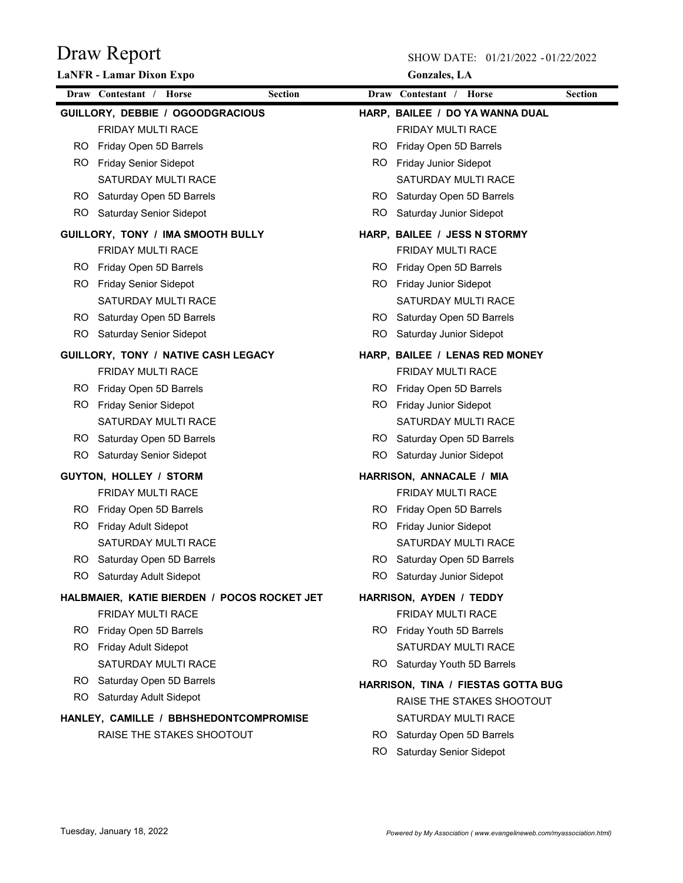|     | <b>LaNFR - Lamar Dixon Expo</b>             |     | <b>Gonzales</b> , LA               |                |
|-----|---------------------------------------------|-----|------------------------------------|----------------|
|     | Draw Contestant / Horse<br><b>Section</b>   |     | Draw Contestant / Horse            | <b>Section</b> |
|     | GUILLORY, DEBBIE / OGOODGRACIOUS            |     | HARP, BAILEE / DO YA WANNA DUAL    |                |
|     | <b>FRIDAY MULTI RACE</b>                    |     | <b>FRIDAY MULTI RACE</b>           |                |
|     | RO Friday Open 5D Barrels                   | RO. | Friday Open 5D Barrels             |                |
|     | RO Friday Senior Sidepot                    | RO. | <b>Friday Junior Sidepot</b>       |                |
|     | SATURDAY MULTI RACE                         |     | SATURDAY MULTI RACE                |                |
|     | RO Saturday Open 5D Barrels                 | RO. | Saturday Open 5D Barrels           |                |
|     | RO Saturday Senior Sidepot                  | RO. | Saturday Junior Sidepot            |                |
|     | GUILLORY, TONY / IMA SMOOTH BULLY           |     | HARP, BAILEE / JESS N STORMY       |                |
|     | <b>FRIDAY MULTI RACE</b>                    |     | <b>FRIDAY MULTI RACE</b>           |                |
|     | RO Friday Open 5D Barrels                   | RO. | Friday Open 5D Barrels             |                |
| RO. | <b>Friday Senior Sidepot</b>                | RO. | Friday Junior Sidepot              |                |
|     | SATURDAY MULTI RACE                         |     | SATURDAY MULTI RACE                |                |
|     | RO Saturday Open 5D Barrels                 | RO. | Saturday Open 5D Barrels           |                |
| RO. | Saturday Senior Sidepot                     | RO. | Saturday Junior Sidepot            |                |
|     | GUILLORY, TONY / NATIVE CASH LEGACY         |     | HARP, BAILEE / LENAS RED MONEY     |                |
|     | FRIDAY MULTI RACE                           |     | FRIDAY MULTI RACE                  |                |
|     | RO Friday Open 5D Barrels                   | RO. | Friday Open 5D Barrels             |                |
| RO. | <b>Friday Senior Sidepot</b>                | RO. | <b>Friday Junior Sidepot</b>       |                |
|     | SATURDAY MULTI RACE                         |     | SATURDAY MULTI RACE                |                |
|     | RO Saturday Open 5D Barrels                 | RO  | Saturday Open 5D Barrels           |                |
| RO. | Saturday Senior Sidepot                     | RO. | Saturday Junior Sidepot            |                |
|     | GUYTON, HOLLEY / STORM                      |     | HARRISON, ANNACALE / MIA           |                |
|     | FRIDAY MULTI RACE                           |     | FRIDAY MULTI RACE                  |                |
|     | RO Friday Open 5D Barrels                   | RO. | Friday Open 5D Barrels             |                |
| RO. | Friday Adult Sidepot                        | RO. | <b>Friday Junior Sidepot</b>       |                |
|     | SATURDAY MULTI RACE                         |     | SATURDAY MULTI RACE                |                |
|     | RO Saturday Open 5D Barrels                 | RO. | Saturday Open 5D Barrels           |                |
|     | RO Saturday Adult Sidepot                   |     | RO Saturday Junior Sidepot         |                |
|     | HALBMAIER, KATIE BIERDEN / POCOS ROCKET JET |     | HARRISON, AYDEN / TEDDY            |                |
|     | FRIDAY MULTI RACE                           |     | FRIDAY MULTI RACE                  |                |
|     | RO Friday Open 5D Barrels                   |     | RO Friday Youth 5D Barrels         |                |
|     | RO Friday Adult Sidepot                     |     | SATURDAY MULTI RACE                |                |
|     | SATURDAY MULTI RACE                         |     | RO Saturday Youth 5D Barrels       |                |
|     | RO Saturday Open 5D Barrels                 |     | HARRISON, TINA / FIESTAS GOTTA BUG |                |
|     | RO Saturday Adult Sidepot                   |     | RAISE THE STAKES SHOOTOUT          |                |
|     | HANLEY, CAMILLE / BBHSHEDONTCOMPROMISE      |     | SATURDAY MULTI RACE                |                |
|     | RAISE THE STAKES SHOOTOUT                   |     | RO Saturday Open 5D Barrels        |                |
|     |                                             | RO. | Saturday Senior Sidepot            |                |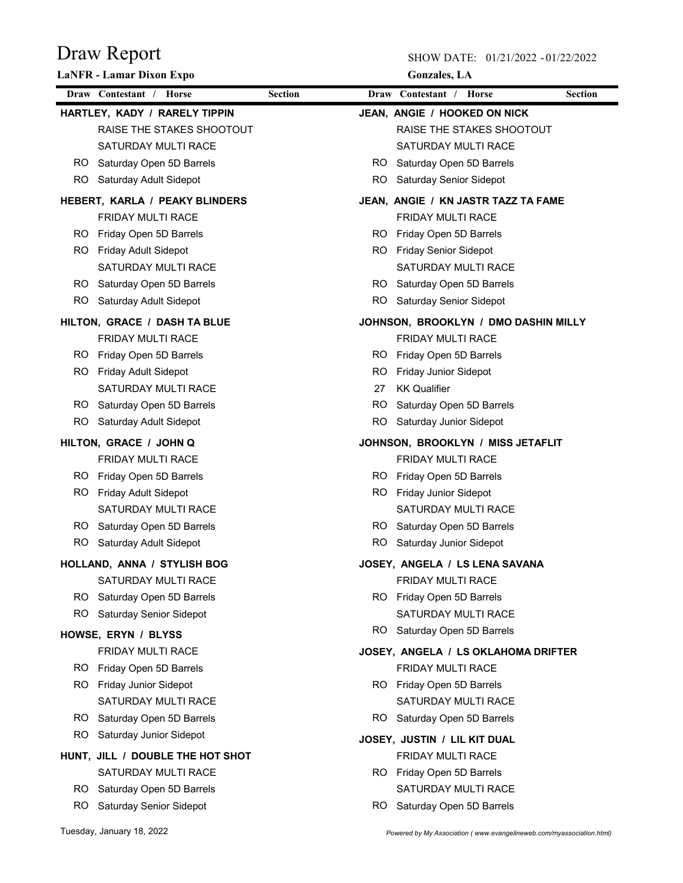SHOW DATE: 01/21/2022 - 01/22/2022

|     | <b>LaNFR</b> - Lamar Dixon Expo  |                | <b>Gonzales</b> , LA                      |
|-----|----------------------------------|----------------|-------------------------------------------|
|     | Draw Contestant / Horse          | <b>Section</b> | Draw Contestant / Horse<br><b>Section</b> |
|     | HARTLEY, KADY / RARELY TIPPIN    |                | JEAN, ANGIE / HOOKED ON NICK              |
|     | RAISE THE STAKES SHOOTOUT        |                | RAISE THE STAKES SHOOTOUT                 |
|     | SATURDAY MULTI RACE              |                | SATURDAY MULTI RACE                       |
|     | RO Saturday Open 5D Barrels      |                | RO Saturday Open 5D Barrels               |
|     | RO Saturday Adult Sidepot        |                | RO Saturday Senior Sidepot                |
|     | HEBERT, KARLA / PEAKY BLINDERS   |                | JEAN, ANGIE / KN JASTR TAZZ TA FAME       |
|     | FRIDAY MULTI RACE                |                | FRIDAY MULTI RACE                         |
|     | RO Friday Open 5D Barrels        |                | RO Friday Open 5D Barrels                 |
|     | RO Friday Adult Sidepot          |                | RO Friday Senior Sidepot                  |
|     | SATURDAY MULTI RACE              |                | SATURDAY MULTI RACE                       |
|     | RO Saturday Open 5D Barrels      |                | RO Saturday Open 5D Barrels               |
|     | RO Saturday Adult Sidepot        |                | RO Saturday Senior Sidepot                |
|     | HILTON, GRACE / DASH TA BLUE     |                | JOHNSON, BROOKLYN / DMO DASHIN MILLY      |
|     | FRIDAY MULTI RACE                |                | FRIDAY MULTI RACE                         |
|     | RO Friday Open 5D Barrels        |                | RO.<br>Friday Open 5D Barrels             |
|     | RO Friday Adult Sidepot          |                | RO.<br>Friday Junior Sidepot              |
|     | SATURDAY MULTI RACE              |                | <b>KK Qualifier</b><br>27                 |
|     | RO Saturday Open 5D Barrels      |                | RO.<br>Saturday Open 5D Barrels           |
|     | RO Saturday Adult Sidepot        |                | RO Saturday Junior Sidepot                |
|     | HILTON, GRACE / JOHN Q           |                | JOHNSON, BROOKLYN / MISS JETAFLIT         |
|     | <b>FRIDAY MULTI RACE</b>         |                | <b>FRIDAY MULTI RACE</b>                  |
|     | RO Friday Open 5D Barrels        |                | RO Friday Open 5D Barrels                 |
|     | RO Friday Adult Sidepot          |                | RO Friday Junior Sidepot                  |
|     | SATURDAY MULTI RACE              |                | SATURDAY MULTI RACE                       |
|     | RO Saturday Open 5D Barrels      |                | RO Saturday Open 5D Barrels               |
|     | RO Saturday Adult Sidepot        |                | RO Saturday Junior Sidepot                |
|     | HOLLAND, ANNA / STYLISH BOG      |                | JOSEY. ANGELA / LS LENA SAVANA            |
|     | SATURDAY MULTI RACE              |                | <b>FRIDAY MULTI RACE</b>                  |
|     | RO Saturday Open 5D Barrels      |                | RO Friday Open 5D Barrels                 |
| RO. | <b>Saturday Senior Sidepot</b>   |                | SATURDAY MULTI RACE                       |
|     | HOWSE, ERYN / BLYSS              |                | RO Saturday Open 5D Barrels               |
|     | FRIDAY MULTI RACE                |                | JOSEY, ANGELA / LS OKLAHOMA DRIFTER       |
|     | RO Friday Open 5D Barrels        |                | FRIDAY MULTI RACE                         |
| RO. | <b>Friday Junior Sidepot</b>     |                | RO Friday Open 5D Barrels                 |
|     | SATURDAY MULTI RACE              |                | SATURDAY MULTI RACE                       |
|     | RO Saturday Open 5D Barrels      |                | Saturday Open 5D Barrels<br>RO.           |
| RO. | Saturday Junior Sidepot          |                | JOSEY, JUSTIN / LIL KIT DUAL              |
|     | HUNT, JILL / DOUBLE THE HOT SHOT |                | FRIDAY MULTI RACE                         |
|     | SATURDAY MULTI RACE              |                | RO Friday Open 5D Barrels                 |
| RO. | Saturday Open 5D Barrels         |                | SATURDAY MULTI RACE                       |
| RO. | Saturday Senior Sidepot          |                | Saturday Open 5D Barrels<br>RO.           |
|     |                                  |                |                                           |

Tuesday, January 18, 2022 *Powered by My Association ( www.evangelineweb.com/myassociation.html)*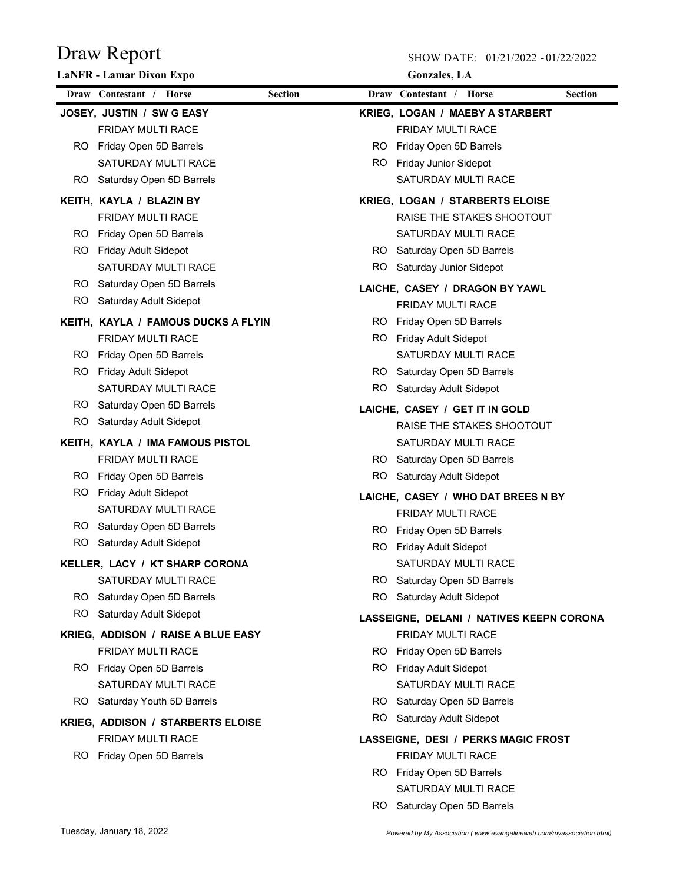SHOW DATE: 01/21/2022 - 01/22/2022

|     | <b>LaNFR</b> - Lamar Dixon Expo          |                | <b>Gonzales</b> , LA                      |
|-----|------------------------------------------|----------------|-------------------------------------------|
|     | Draw Contestant / Horse                  | <b>Section</b> | Draw Contestant / Horse<br><b>Section</b> |
|     | JOSEY, JUSTIN / SW G EASY                |                | <b>KRIEG, LOGAN / MAEBY A STARBERT</b>    |
|     | FRIDAY MULTI RACE                        |                | <b>FRIDAY MULTI RACE</b>                  |
|     | RO Friday Open 5D Barrels                | RO.            | Friday Open 5D Barrels                    |
|     | SATURDAY MULTI RACE                      |                | RO Friday Junior Sidepot                  |
| RO. | Saturday Open 5D Barrels                 |                | SATURDAY MULTI RACE                       |
|     | KEITH, KAYLA / BLAZIN BY                 |                | <b>KRIEG, LOGAN / STARBERTS ELOISE</b>    |
|     | <b>FRIDAY MULTI RACE</b>                 |                | RAISE THE STAKES SHOOTOUT                 |
| RO. | Friday Open 5D Barrels                   |                | SATURDAY MULTI RACE                       |
| RO. | Friday Adult Sidepot                     |                | RO Saturday Open 5D Barrels               |
|     | <b>SATURDAY MULTI RACE</b>               | RO.            | Saturday Junior Sidepot                   |
|     | RO Saturday Open 5D Barrels              |                | LAICHE, CASEY / DRAGON BY YAWL            |
|     | RO Saturday Adult Sidepot                |                | FRIDAY MULTI RACE                         |
|     | KEITH, KAYLA / FAMOUS DUCKS A FLYIN      | RO.            | Friday Open 5D Barrels                    |
|     | <b>FRIDAY MULTI RACE</b>                 | RO.            | Friday Adult Sidepot                      |
|     | RO Friday Open 5D Barrels                |                | <b>SATURDAY MULTI RACE</b>                |
| RO. | Friday Adult Sidepot                     |                | RO Saturday Open 5D Barrels               |
|     | <b>SATURDAY MULTI RACE</b>               |                | RO Saturday Adult Sidepot                 |
|     | RO Saturday Open 5D Barrels              |                | LAICHE, CASEY / GET IT IN GOLD            |
| RO. | Saturday Adult Sidepot                   |                | RAISE THE STAKES SHOOTOUT                 |
|     | KEITH, KAYLA / IMA FAMOUS PISTOL         |                | SATURDAY MULTI RACE                       |
|     | <b>FRIDAY MULTI RACE</b>                 |                | RO Saturday Open 5D Barrels               |
| RO. | Friday Open 5D Barrels                   | RO.            | Saturday Adult Sidepot                    |
| RO. | Friday Adult Sidepot                     |                | LAICHE, CASEY / WHO DAT BREES N BY        |
|     | SATURDAY MULTI RACE                      |                | <b>FRIDAY MULTI RACE</b>                  |
|     | RO Saturday Open 5D Barrels              | RO.            | Friday Open 5D Barrels                    |
|     | RO Saturday Adult Sidepot                | RO.            | <b>Friday Adult Sidepot</b>               |
|     | KELLER, LACY / KT SHARP CORONA           |                | SATURDAY MULTI RACE                       |
|     | SATURDAY MULTI RACE                      |                | RO Saturday Open 5D Barrels               |
|     | RO Saturday Open 5D Barrels              | RO             | Saturday Adult Sidepot                    |
|     | RO Saturday Adult Sidepot                |                | LASSEIGNE, DELANI / NATIVES KEEPN CORONA  |
|     | KRIEG, ADDISON / RAISE A BLUE EASY       |                | <b>FRIDAY MULTI RACE</b>                  |
|     | FRIDAY MULTI RACE                        | RO.            | Friday Open 5D Barrels                    |
|     | RO Friday Open 5D Barrels                |                | RO Friday Adult Sidepot                   |
|     | SATURDAY MULTI RACE                      |                | SATURDAY MULTI RACE                       |
|     | RO Saturday Youth 5D Barrels             |                | RO Saturday Open 5D Barrels               |
|     | <b>KRIEG, ADDISON / STARBERTS ELOISE</b> |                | RO Saturday Adult Sidepot                 |
|     | <b>FRIDAY MULTI RACE</b>                 |                | LASSEIGNE, DESI / PERKS MAGIC FROST       |
|     | RO Friday Open 5D Barrels                |                | <b>FRIDAY MULTI RACE</b>                  |
|     |                                          |                | RO Friday Open 5D Barrels                 |
|     |                                          |                | SATURDAY MULTI RACE                       |

RO Saturday Open 5D Barrels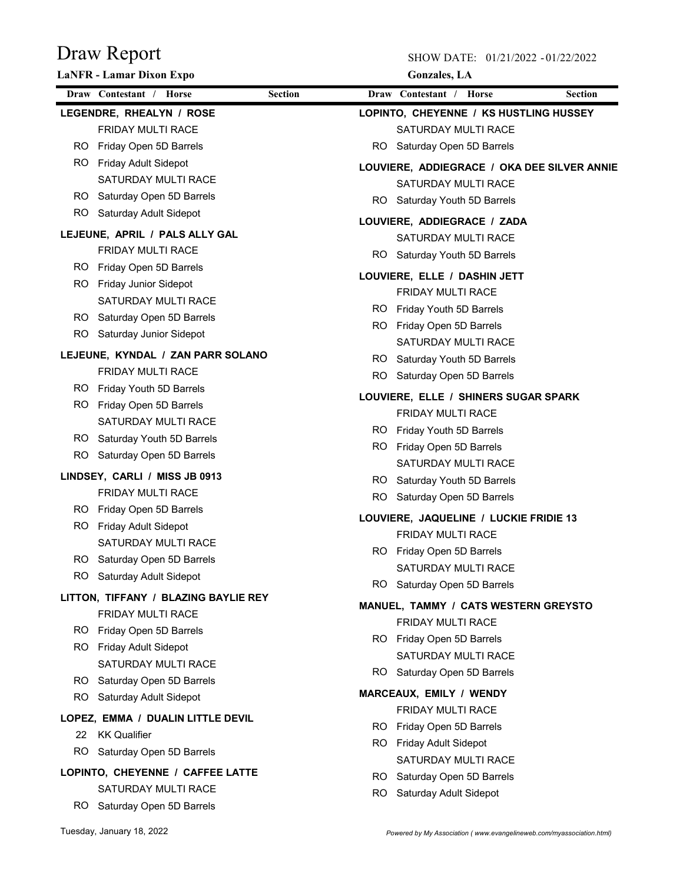SHOW DATE: 01/21/2022 - 01/22/2022

|     | <b>LaNFR</b> - Lamar Dixon Expo      |                | <b>Gonzales</b> , LA                        |
|-----|--------------------------------------|----------------|---------------------------------------------|
|     | Draw Contestant / Horse              | <b>Section</b> | Draw Contestant / Horse<br><b>Section</b>   |
|     | LEGENDRE, RHEALYN / ROSE             |                | LOPINTO, CHEYENNE / KS HUSTLING HUSSEY      |
|     | <b>FRIDAY MULTI RACE</b>             |                | <b>SATURDAY MULTI RACE</b>                  |
|     | RO Friday Open 5D Barrels            |                | RO.<br>Saturday Open 5D Barrels             |
|     | RO Friday Adult Sidepot              |                | LOUVIERE, ADDIEGRACE / OKA DEE SILVER ANNIE |
|     | SATURDAY MULTI RACE                  |                | SATURDAY MULTI RACE                         |
|     | RO Saturday Open 5D Barrels          |                | Saturday Youth 5D Barrels<br>RO.            |
|     | RO Saturday Adult Sidepot            |                | LOUVIERE, ADDIEGRACE / ZADA                 |
|     | LEJEUNE, APRIL / PALS ALLY GAL       |                | SATURDAY MULTI RACE                         |
|     | FRIDAY MULTI RACE                    |                | Saturday Youth 5D Barrels<br>RO.            |
|     | RO Friday Open 5D Barrels            |                |                                             |
| RO. | Friday Junior Sidepot                |                | LOUVIERE, ELLE / DASHIN JETT                |
|     | <b>SATURDAY MULTI RACE</b>           |                | FRIDAY MULTI RACE                           |
|     | RO Saturday Open 5D Barrels          |                | RO Friday Youth 5D Barrels                  |
| RO. | Saturday Junior Sidepot              |                | RO Friday Open 5D Barrels                   |
|     | LEJEUNE, KYNDAL / ZAN PARR SOLANO    |                | SATURDAY MULTI RACE                         |
|     | <b>FRIDAY MULTI RACE</b>             |                | RO Saturday Youth 5D Barrels                |
|     | RO Friday Youth 5D Barrels           |                | RO.<br>Saturday Open 5D Barrels             |
| RO. | Friday Open 5D Barrels               |                | LOUVIERE, ELLE / SHINERS SUGAR SPARK        |
|     | SATURDAY MULTI RACE                  |                | <b>FRIDAY MULTI RACE</b>                    |
|     | RO Saturday Youth 5D Barrels         |                | RO Friday Youth 5D Barrels                  |
| RO. | Saturday Open 5D Barrels             |                | RO Friday Open 5D Barrels                   |
|     | LINDSEY, CARLI / MISS JB 0913        |                | SATURDAY MULTI RACE                         |
|     | <b>FRIDAY MULTI RACE</b>             |                | RO Saturday Youth 5D Barrels                |
|     | RO Friday Open 5D Barrels            |                | RO Saturday Open 5D Barrels                 |
| RO. | <b>Friday Adult Sidepot</b>          |                | LOUVIERE, JAQUELINE / LUCKIE FRIDIE 13      |
|     | SATURDAY MULTI RACE                  |                | <b>FRIDAY MULTI RACE</b>                    |
| RO. | Saturday Open 5D Barrels             |                | RO Friday Open 5D Barrels                   |
|     | RO Saturday Adult Sidepot            |                | SATURDAY MULTI RACE                         |
|     |                                      |                | RO Saturday Open 5D Barrels                 |
|     | LITTON, TIFFANY / BLAZING BAYLIE REY |                | MANUEL, TAMMY / CATS WESTERN GREYSTO        |
|     | <b>FRIDAY MULTI RACE</b>             |                | <b>FRIDAY MULTI RACE</b>                    |
|     | RO Friday Open 5D Barrels            |                | RO Friday Open 5D Barrels                   |
|     | RO Friday Adult Sidepot              |                | SATURDAY MULTI RACE                         |
|     | SATURDAY MULTI RACE                  |                | RO Saturday Open 5D Barrels                 |
|     | RO Saturday Open 5D Barrels          |                | MARCEAUX, EMILY / WENDY                     |
|     | RO Saturday Adult Sidepot            |                | <b>FRIDAY MULTI RACE</b>                    |
|     | LOPEZ, EMMA / DUALIN LITTLE DEVIL    |                | RO Friday Open 5D Barrels                   |
| 22  | KK Qualifier                         |                | RO.<br><b>Friday Adult Sidepot</b>          |
| RO. | Saturday Open 5D Barrels             |                | SATURDAY MULTI RACE                         |
|     | LOPINTO, CHEYENNE / CAFFEE LATTE     |                | Saturday Open 5D Barrels<br>RO.             |
|     | SATURDAY MULTI RACE                  |                | RO.<br>Saturday Adult Sidepot               |

RO Saturday Open 5D Barrels

Tuesday, January 18, 2022 *Powered by My Association ( www.evangelineweb.com/myassociation.html)*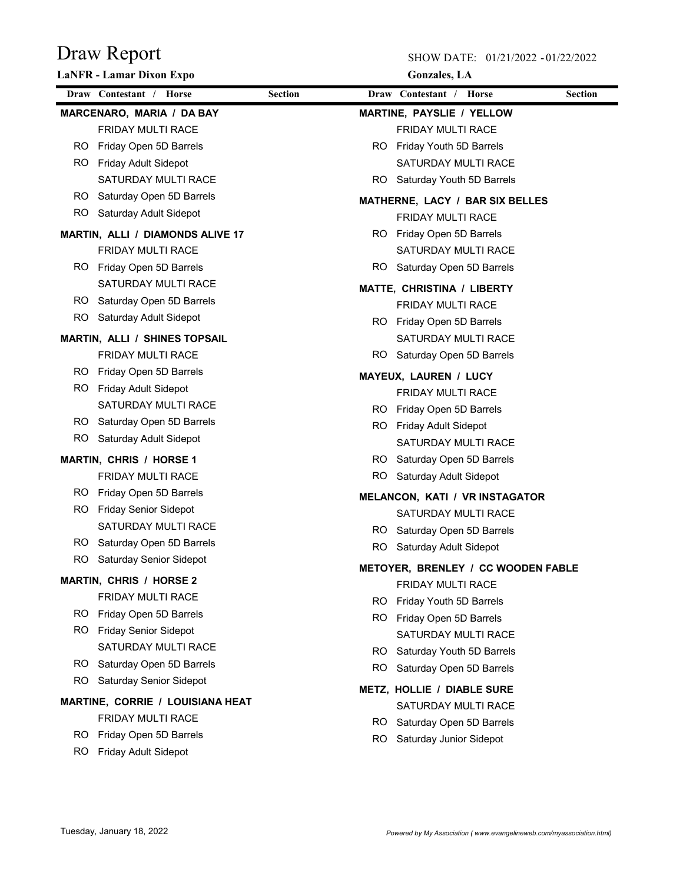|     | <b>LaNFR</b> - Lamar Dixon Expo      |                | <b>Gonzales</b> , LA                                         |
|-----|--------------------------------------|----------------|--------------------------------------------------------------|
|     | Draw Contestant / Horse              | <b>Section</b> | Draw Contestant / Horse<br><b>Section</b>                    |
|     | MARCENARO, MARIA / DA BAY            |                | <b>MARTINE, PAYSLIE / YELLOW</b>                             |
|     | <b>FRIDAY MULTI RACE</b>             |                | FRIDAY MULTI RACE                                            |
|     | RO Friday Open 5D Barrels            |                | Friday Youth 5D Barrels<br>RO.                               |
|     | RO Friday Adult Sidepot              |                | SATURDAY MULTI RACE                                          |
|     | <b>SATURDAY MULTI RACE</b>           |                | RO.<br>Saturday Youth 5D Barrels                             |
|     | RO Saturday Open 5D Barrels          |                | MATHERNE, LACY / BAR SIX BELLES                              |
|     | RO Saturday Adult Sidepot            |                | FRIDAY MULTI RACE                                            |
|     | MARTIN, ALLI / DIAMONDS ALIVE 17     |                | RO Friday Open 5D Barrels                                    |
|     | FRIDAY MULTI RACE                    |                | SATURDAY MULTI RACE                                          |
|     | RO Friday Open 5D Barrels            |                | Saturday Open 5D Barrels<br>RO.                              |
|     | SATURDAY MULTI RACE                  |                | MATTE, CHRISTINA / LIBERTY                                   |
|     | RO Saturday Open 5D Barrels          |                | <b>FRIDAY MULTI RACE</b>                                     |
| RO. | Saturday Adult Sidepot               |                | Friday Open 5D Barrels<br>RO.                                |
|     | <b>MARTIN, ALLI / SHINES TOPSAIL</b> |                | SATURDAY MULTI RACE                                          |
|     | <b>FRIDAY MULTI RACE</b>             |                | RO.<br>Saturday Open 5D Barrels                              |
|     | RO Friday Open 5D Barrels            |                |                                                              |
| RO. | <b>Friday Adult Sidepot</b>          |                | <b>MAYEUX, LAUREN / LUCY</b><br>FRIDAY MULTI RACE            |
|     | SATURDAY MULTI RACE                  |                |                                                              |
|     | RO Saturday Open 5D Barrels          |                | RO Friday Open 5D Barrels<br>RO Friday Adult Sidepot         |
| RO. | Saturday Adult Sidepot               |                | SATURDAY MULTI RACE                                          |
|     | <b>MARTIN, CHRIS / HORSE 1</b>       |                | RO Saturday Open 5D Barrels                                  |
|     | FRIDAY MULTI RACE                    |                | RO.<br>Saturday Adult Sidepot                                |
|     | RO Friday Open 5D Barrels            |                |                                                              |
| RO. | <b>Friday Senior Sidepot</b>         |                | <b>MELANCON, KATI / VR INSTAGATOR</b><br>SATURDAY MULTI RACE |
|     | <b>SATURDAY MULTI RACE</b>           |                |                                                              |
| ROI | Saturday Open 5D Barrels             |                | RO Saturday Open 5D Barrels<br>RO.<br>Saturday Adult Sidepot |
| RO. | <b>Saturday Senior Sidepot</b>       |                |                                                              |
|     | <b>MARTIN, CHRIS / HORSE 2</b>       |                | <b>METOYER, BRENLEY / CC WOODEN FABLE</b>                    |
|     | FRIDAY MULTI RACE                    |                | FRIDAY MULTI RACE                                            |
|     | RO Friday Open 5D Barrels            |                | RO.<br>Friday Youth 5D Barrels                               |
|     | RO Friday Senior Sidepot             |                | RO Friday Open 5D Barrels                                    |
|     | SATURDAY MULTI RACE                  |                | SATURDAY MULTI RACE                                          |
|     | RO Saturday Open 5D Barrels          |                | RO.<br>Saturday Youth 5D Barrels                             |
|     | RO Saturday Senior Sidepot           |                | RO.<br>Saturday Open 5D Barrels                              |
|     |                                      |                | METZ, HOLLIE / DIABLE SURE                                   |
|     | MARTINE, CORRIE / LOUISIANA HEAT     |                | SATURDAY MULTI RACE                                          |
|     | FRIDAY MULTI RACE                    |                | RO.<br>Saturday Open 5D Barrels                              |
| RO. | Friday Open 5D Barrels               |                | RO.<br>Saturday Junior Sidepot                               |
| RO. | <b>Friday Adult Sidepot</b>          |                |                                                              |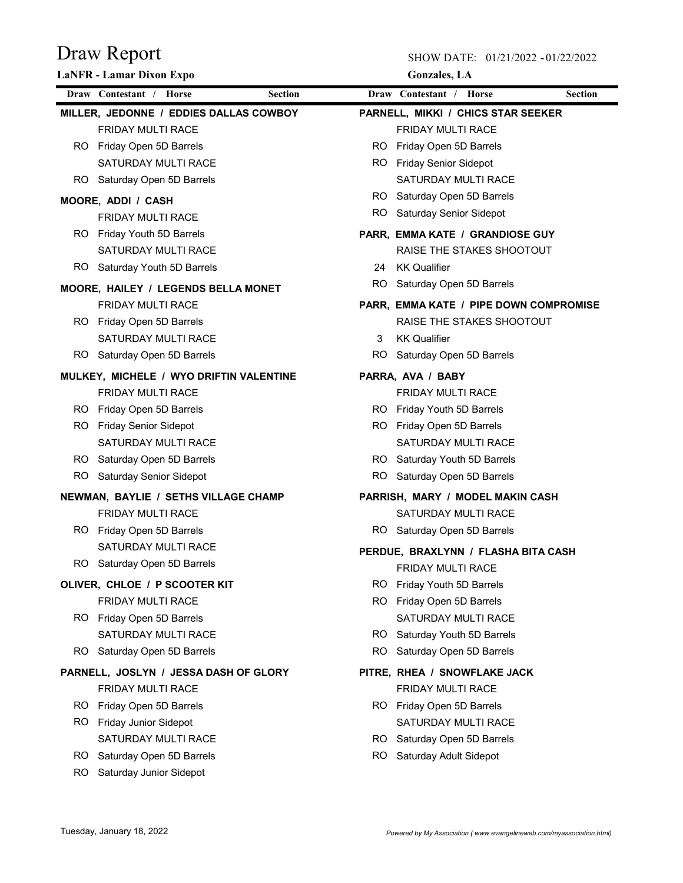|     | <b>LaNFR</b> - Lamar Dixon Expo           |     | <b>Gonzales</b> , LA                   |                |
|-----|-------------------------------------------|-----|----------------------------------------|----------------|
|     | Draw Contestant / Horse<br><b>Section</b> |     | Draw Contestant / Horse                | <b>Section</b> |
|     | MILLER, JEDONNE / EDDIES DALLAS COWBOY    |     | PARNELL, MIKKI / CHICS STAR SEEKER     |                |
|     | FRIDAY MULTI RACE                         |     | FRIDAY MULTI RACE                      |                |
|     | RO Friday Open 5D Barrels                 |     | RO Friday Open 5D Barrels              |                |
|     | SATURDAY MULTI RACE                       |     | RO Friday Senior Sidepot               |                |
|     | RO Saturday Open 5D Barrels               |     | SATURDAY MULTI RACE                    |                |
|     | MOORE, ADDI / CASH                        |     | RO Saturday Open 5D Barrels            |                |
|     | FRIDAY MULTI RACE                         |     | RO Saturday Senior Sidepot             |                |
|     | RO Friday Youth 5D Barrels                |     | PARR, EMMA KATE / GRANDIOSE GUY        |                |
|     | SATURDAY MULTI RACE                       |     | RAISE THE STAKES SHOOTOUT              |                |
|     | RO Saturday Youth 5D Barrels              | 24  | <b>KK Qualifier</b>                    |                |
|     | MOORE, HAILEY / LEGENDS BELLA MONET       | RO. | Saturday Open 5D Barrels               |                |
|     | FRIDAY MULTI RACE                         |     | PARR, EMMA KATE / PIPE DOWN COMPROMISE |                |
|     | RO Friday Open 5D Barrels                 |     | RAISE THE STAKES SHOOTOUT              |                |
|     | <b>SATURDAY MULTI RACE</b>                | 3   | <b>KK Qualifier</b>                    |                |
|     | RO Saturday Open 5D Barrels               |     | RO Saturday Open 5D Barrels            |                |
|     | MULKEY, MICHELE / WYO DRIFTIN VALENTINE   |     | PARRA, AVA / BABY                      |                |
|     | FRIDAY MULTI RACE                         |     | <b>FRIDAY MULTI RACE</b>               |                |
|     | RO Friday Open 5D Barrels                 |     | RO Friday Youth 5D Barrels             |                |
|     | RO Friday Senior Sidepot                  |     | RO Friday Open 5D Barrels              |                |
|     | SATURDAY MULTI RACE                       |     | SATURDAY MULTI RACE                    |                |
|     | RO Saturday Open 5D Barrels               |     | RO Saturday Youth 5D Barrels           |                |
|     | RO Saturday Senior Sidepot                |     | RO Saturday Open 5D Barrels            |                |
|     | NEWMAN, BAYLIE / SETHS VILLAGE CHAMP      |     | PARRISH, MARY / MODEL MAKIN CASH       |                |
|     | <b>FRIDAY MULTI RACE</b>                  |     | SATURDAY MULTI RACE                    |                |
|     | RO Friday Open 5D Barrels                 |     | RO Saturday Open 5D Barrels            |                |
|     | SATURDAY MULTI RACE                       |     |                                        |                |
|     | RO Saturday Open 5D Barrels               |     | PERDUE. BRAXLYNN / FLASHA BITA CASH    |                |
|     |                                           |     | FRIDAY MULTI RACE                      |                |
|     | OLIVER, CHLOE / P SCOOTER KIT             | RO. | Friday Youth 5D Barrels                |                |
|     | FRIDAY MULTI RACE                         | RO. | Friday Open 5D Barrels                 |                |
|     | RO Friday Open 5D Barrels                 |     | SATURDAY MULTI RACE                    |                |
|     | SATURDAY MULTI RACE                       |     | RO Saturday Youth 5D Barrels           |                |
|     | RO Saturday Open 5D Barrels               | RO. | Saturday Open 5D Barrels               |                |
|     | PARNELL, JOSLYN / JESSA DASH OF GLORY     |     | PITRE, RHEA / SNOWFLAKE JACK           |                |
|     | <b>FRIDAY MULTI RACE</b>                  |     | <b>FRIDAY MULTI RACE</b>               |                |
|     | RO Friday Open 5D Barrels                 |     | RO Friday Open 5D Barrels              |                |
| RO. | Friday Junior Sidepot                     |     | SATURDAY MULTI RACE                    |                |
|     | SATURDAY MULTI RACE                       |     | RO Saturday Open 5D Barrels            |                |
| RO. | Saturday Open 5D Barrels                  |     | RO Saturday Adult Sidepot              |                |
| RO. | Saturday Junior Sidepot                   |     |                                        |                |
|     |                                           |     |                                        |                |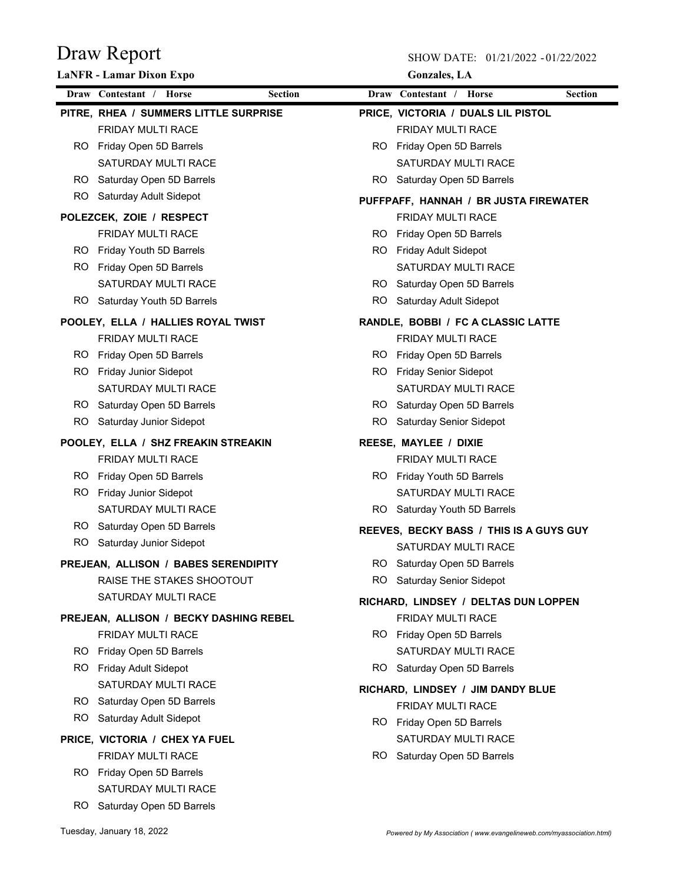|     | <b>LaNFR</b> - Lamar Dixon Expo        |                | <b>Gonzales</b> , LA                         |
|-----|----------------------------------------|----------------|----------------------------------------------|
|     | Draw Contestant / Horse                | <b>Section</b> | Draw Contestant /<br>Horse<br><b>Section</b> |
|     | PITRE, RHEA / SUMMERS LITTLE SURPRISE  |                | PRICE, VICTORIA / DUALS LIL PISTOL           |
|     | <b>FRIDAY MULTI RACE</b>               |                | FRIDAY MULTI RACE                            |
|     | RO Friday Open 5D Barrels              |                | RO Friday Open 5D Barrels                    |
|     | SATURDAY MULTI RACE                    |                | SATURDAY MULTI RACE                          |
|     | RO Saturday Open 5D Barrels            |                | RO Saturday Open 5D Barrels                  |
| RO. | Saturday Adult Sidepot                 |                | PUFFPAFF, HANNAH / BR JUSTA FIREWATER        |
|     | POLEZCEK, ZOIE / RESPECT               |                | <b>FRIDAY MULTI RACE</b>                     |
|     | FRIDAY MULTI RACE                      |                | RO Friday Open 5D Barrels                    |
|     | RO Friday Youth 5D Barrels             |                | RO Friday Adult Sidepot                      |
| RO. | Friday Open 5D Barrels                 |                | SATURDAY MULTI RACE                          |
|     | SATURDAY MULTI RACE                    |                | RO Saturday Open 5D Barrels                  |
| RO. | Saturday Youth 5D Barrels              | RO.            | Saturday Adult Sidepot                       |
|     | POOLEY, ELLA / HALLIES ROYAL TWIST     |                | RANDLE, BOBBI / FC A CLASSIC LATTE           |
|     | <b>FRIDAY MULTI RACE</b>               |                | <b>FRIDAY MULTI RACE</b>                     |
|     | RO Friday Open 5D Barrels              |                | RO Friday Open 5D Barrels                    |
|     | RO Friday Junior Sidepot               |                | RO Friday Senior Sidepot                     |
|     | SATURDAY MULTI RACE                    |                | SATURDAY MULTI RACE                          |
|     | RO Saturday Open 5D Barrels            |                | RO Saturday Open 5D Barrels                  |
| RO. | Saturday Junior Sidepot                | RO.            | Saturday Senior Sidepot                      |
|     | POOLEY, ELLA / SHZ FREAKIN STREAKIN    |                | REESE, MAYLEE / DIXIE                        |
|     | <b>FRIDAY MULTI RACE</b>               |                | <b>FRIDAY MULTI RACE</b>                     |
|     | RO Friday Open 5D Barrels              |                | RO Friday Youth 5D Barrels                   |
| RO. | Friday Junior Sidepot                  |                | SATURDAY MULTI RACE                          |
|     | <b>SATURDAY MULTI RACE</b>             |                | RO Saturday Youth 5D Barrels                 |
|     | RO Saturday Open 5D Barrels            |                | REEVES, BECKY BASS / THIS IS A GUYS GUY      |
| RO. | Saturday Junior Sidepot                |                | SATURDAY MULTI RACE                          |
|     | PREJEAN, ALLISON / BABES SERENDIPITY   |                | RO Saturday Open 5D Barrels                  |
|     | RAISE THE STAKES SHOOTOUT              | ROI            | <b>Saturday Senior Sidepot</b>               |
|     | SATURDAY MULTI RACE                    |                | RICHARD, LINDSEY / DELTAS DUN LOPPEN         |
|     | PREJEAN, ALLISON / BECKY DASHING REBEL |                | FRIDAY MULTI RACE                            |
|     | <b>FRIDAY MULTI RACE</b>               |                | RO Friday Open 5D Barrels                    |
|     | RO Friday Open 5D Barrels              |                | SATURDAY MULTI RACE                          |
|     | RO Friday Adult Sidepot                |                | RO Saturday Open 5D Barrels                  |
|     | SATURDAY MULTI RACE                    |                | RICHARD, LINDSEY / JIM DANDY BLUE            |
|     | RO Saturday Open 5D Barrels            |                | FRIDAY MULTI RACE                            |
|     | RO Saturday Adult Sidepot              |                | RO Friday Open 5D Barrels                    |
|     | PRICE, VICTORIA / CHEX YA FUEL         |                | SATURDAY MULTI RACE                          |
|     | FRIDAY MULTI RACE                      |                | RO Saturday Open 5D Barrels                  |
|     | RO Friday Open 5D Barrels              |                |                                              |
|     | SATURDAY MULTI RACE                    |                |                                              |
|     | RO Saturday Open 5D Barrels            |                |                                              |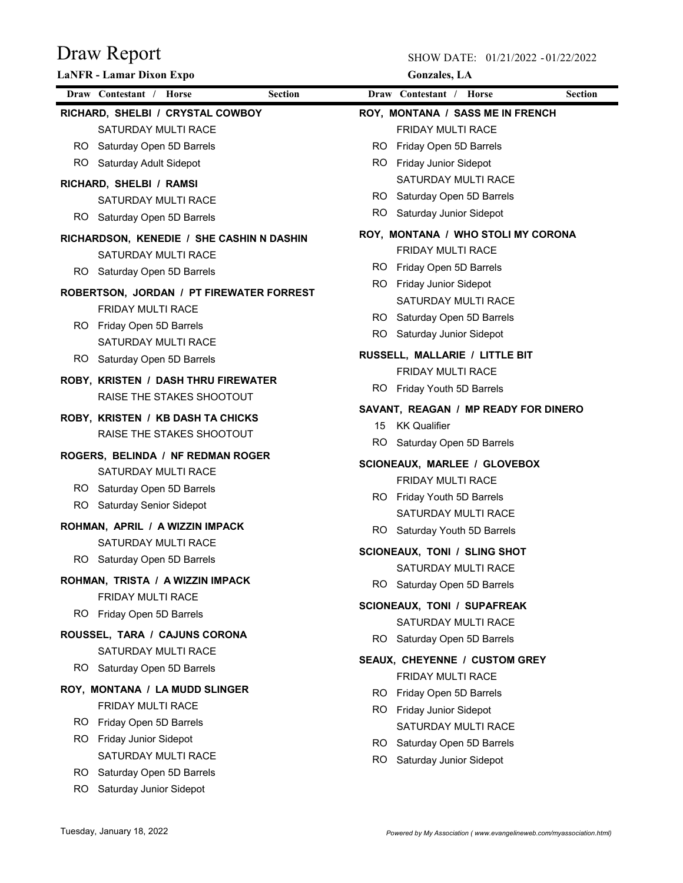|     | <b>LaNFR</b> - Lamar Dixon Expo                              | <b>Gonzales</b> , LA                              |
|-----|--------------------------------------------------------------|---------------------------------------------------|
|     | Draw Contestant / Horse<br><b>Section</b>                    | <b>Section</b><br>Draw Contestant /<br>Horse      |
|     | RICHARD, SHELBI / CRYSTAL COWBOY                             | ROY, MONTANA / SASS ME IN FRENCH                  |
|     | SATURDAY MULTI RACE                                          | <b>FRIDAY MULTI RACE</b>                          |
|     | RO Saturday Open 5D Barrels                                  | RO Friday Open 5D Barrels                         |
|     | RO Saturday Adult Sidepot                                    | RO Friday Junior Sidepot                          |
|     | RICHARD, SHELBI / RAMSI                                      | SATURDAY MULTI RACE                               |
|     | SATURDAY MULTI RACE                                          | RO Saturday Open 5D Barrels                       |
|     | RO Saturday Open 5D Barrels                                  | Saturday Junior Sidepot<br>RO                     |
|     | RICHARDSON, KENEDIE / SHE CASHIN N DASHIN                    | ROY, MONTANA / WHO STOLI MY CORONA                |
|     | SATURDAY MULTI RACE                                          | FRIDAY MULTI RACE                                 |
|     | RO Saturday Open 5D Barrels                                  | RO Friday Open 5D Barrels                         |
|     |                                                              | RO Friday Junior Sidepot                          |
|     | ROBERTSON, JORDAN / PT FIREWATER FORREST                     | <b>SATURDAY MULTI RACE</b>                        |
|     | <b>FRIDAY MULTI RACE</b>                                     | RO Saturday Open 5D Barrels                       |
|     | RO Friday Open 5D Barrels                                    | RO Saturday Junior Sidepot                        |
|     | SATURDAY MULTI RACE<br>RO Saturday Open 5D Barrels           | RUSSELL, MALLARIE / LITTLE BIT                    |
|     |                                                              | <b>FRIDAY MULTI RACE</b>                          |
|     | <b>ROBY, KRISTEN / DASH THRU FIREWATER</b>                   | RO Friday Youth 5D Barrels                        |
|     | RAISE THE STAKES SHOOTOUT                                    | SAVANT, REAGAN / MP READY FOR DINERO              |
|     | ROBY, KRISTEN / KB DASH TA CHICKS                            | 15<br><b>KK Qualifier</b>                         |
|     | RAISE THE STAKES SHOOTOUT                                    | RO Saturday Open 5D Barrels                       |
|     | ROGERS, BELINDA / NF REDMAN ROGER                            |                                                   |
|     | SATURDAY MULTI RACE                                          | SCIONEAUX, MARLEE / GLOVEBOX                      |
|     | RO Saturday Open 5D Barrels                                  | FRIDAY MULTI RACE                                 |
|     | RO Saturday Senior Sidepot                                   | RO Friday Youth 5D Barrels<br>SATURDAY MULTI RACE |
|     | ROHMAN, APRIL / A WIZZIN IMPACK                              |                                                   |
|     | SATURDAY MULTI RACE                                          | RO Saturday Youth 5D Barrels                      |
|     | RO Saturday Open 5D Barrels                                  | SCIONEAUX, TONI / SLING SHOT                      |
|     |                                                              | SATURDAY MULTI RACE                               |
|     | ROHMAN, TRISTA / A WIZZIN IMPACK<br><b>FRIDAY MULTI RACE</b> | RO Saturday Open 5D Barrels                       |
|     |                                                              | SCIONEAUX, TONI / SUPAFREAK                       |
|     | RO Friday Open 5D Barrels                                    | SATURDAY MULTI RACE                               |
|     | ROUSSEL, TARA / CAJUNS CORONA                                | RO Saturday Open 5D Barrels                       |
|     | <b>SATURDAY MULTI RACE</b>                                   | SEAUX, CHEYENNE / CUSTOM GREY                     |
|     | RO Saturday Open 5D Barrels                                  | <b>FRIDAY MULTI RACE</b>                          |
|     | ROY, MONTANA / LA MUDD SLINGER                               | RO.<br>Friday Open 5D Barrels                     |
|     | <b>FRIDAY MULTI RACE</b>                                     | RO Friday Junior Sidepot                          |
|     | RO Friday Open 5D Barrels                                    | SATURDAY MULTI RACE                               |
|     | RO Friday Junior Sidepot                                     | RO Saturday Open 5D Barrels                       |
|     | SATURDAY MULTI RACE                                          | RO Saturday Junior Sidepot                        |
|     | RO Saturday Open 5D Barrels                                  |                                                   |
| RO. | Saturday Junior Sidepot                                      |                                                   |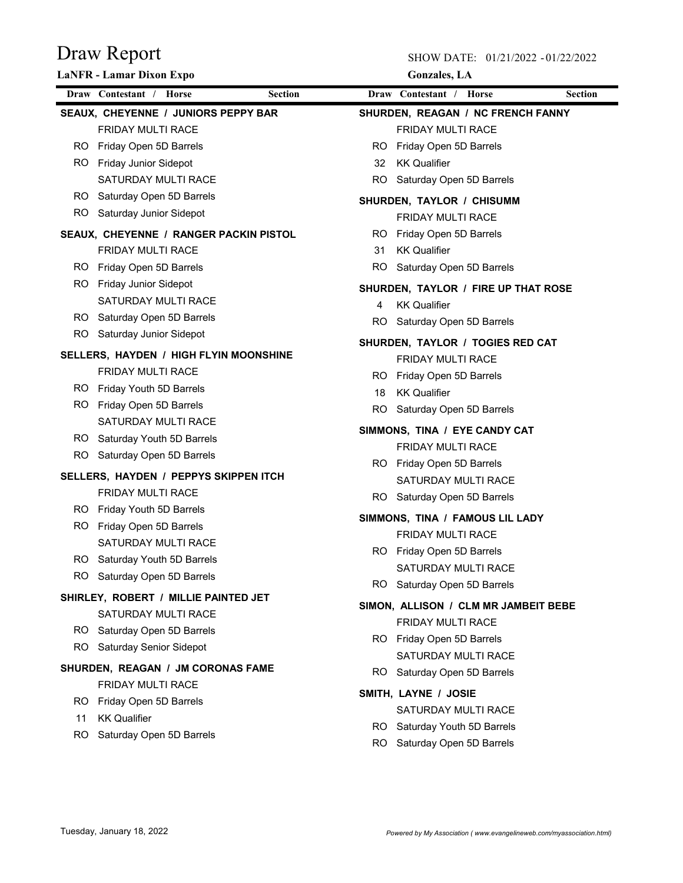|     | <b>LaNFR</b> - Lamar Dixon Expo                        |                |     | <b>Gonzales</b> , LA                               |                |
|-----|--------------------------------------------------------|----------------|-----|----------------------------------------------------|----------------|
|     | Draw Contestant / Horse                                | <b>Section</b> |     | Draw Contestant / Horse                            | <b>Section</b> |
|     | SEAUX, CHEYENNE / JUNIORS PEPPY BAR                    |                |     | SHURDEN, REAGAN / NC FRENCH FANNY                  |                |
|     | <b>FRIDAY MULTI RACE</b>                               |                |     | <b>FRIDAY MULTI RACE</b>                           |                |
| RO. | Friday Open 5D Barrels                                 |                | RO. | Friday Open 5D Barrels                             |                |
| RO. | <b>Friday Junior Sidepot</b>                           |                | 32  | <b>KK Qualifier</b>                                |                |
|     | <b>SATURDAY MULTI RACE</b>                             |                |     | RO Saturday Open 5D Barrels                        |                |
|     | RO Saturday Open 5D Barrels                            |                |     | SHURDEN, TAYLOR / CHISUMM                          |                |
|     | RO Saturday Junior Sidepot                             |                |     | <b>FRIDAY MULTI RACE</b>                           |                |
|     | SEAUX, CHEYENNE / RANGER PACKIN PISTOL                 |                |     | RO Friday Open 5D Barrels                          |                |
|     | <b>FRIDAY MULTI RACE</b>                               |                | 31  | <b>KK Qualifier</b>                                |                |
|     | RO Friday Open 5D Barrels                              |                |     | RO Saturday Open 5D Barrels                        |                |
| RO. | <b>Friday Junior Sidepot</b>                           |                |     | SHURDEN, TAYLOR / FIRE UP THAT ROSE                |                |
|     | <b>SATURDAY MULTI RACE</b>                             |                | 4   | <b>KK Qualifier</b>                                |                |
|     | RO Saturday Open 5D Barrels                            |                |     | RO Saturday Open 5D Barrels                        |                |
|     | RO Saturday Junior Sidepot                             |                |     | SHURDEN, TAYLOR / TOGIES RED CAT                   |                |
|     | SELLERS, HAYDEN / HIGH FLYIN MOONSHINE                 |                |     | FRIDAY MULTI RACE                                  |                |
|     | <b>FRIDAY MULTI RACE</b>                               |                | RO. | Friday Open 5D Barrels                             |                |
|     | RO Friday Youth 5D Barrels                             |                | 18  | <b>KK Qualifier</b>                                |                |
| RO. | Friday Open 5D Barrels                                 |                |     | RO Saturday Open 5D Barrels                        |                |
|     | <b>SATURDAY MULTI RACE</b>                             |                |     |                                                    |                |
|     | RO Saturday Youth 5D Barrels                           |                |     | SIMMONS, TINA / EYE CANDY CAT                      |                |
|     | RO Saturday Open 5D Barrels                            |                |     | <b>FRIDAY MULTI RACE</b>                           |                |
|     | SELLERS, HAYDEN / PEPPYS SKIPPEN ITCH                  |                |     | RO Friday Open 5D Barrels                          |                |
|     | <b>FRIDAY MULTI RACE</b>                               |                |     | SATURDAY MULTI RACE<br>RO Saturday Open 5D Barrels |                |
|     | RO Friday Youth 5D Barrels                             |                |     |                                                    |                |
| RO. | Friday Open 5D Barrels                                 |                |     | SIMMONS, TINA / FAMOUS LIL LADY                    |                |
|     | <b>SATURDAY MULTI RACE</b>                             |                |     | <b>FRIDAY MULTI RACE</b>                           |                |
|     | RO Saturday Youth 5D Barrels                           |                |     | RO Friday Open 5D Barrels                          |                |
|     | RO Saturday Open 5D Barrels                            |                |     | SATURDAY MULTI RACE                                |                |
|     | SHIRLEY, ROBERT / MILLIE PAINTED JET                   |                | RO. | Saturday Open 5D Barrels                           |                |
|     | SATURDAY MULTI RACE                                    |                |     | SIMON, ALLISON / CLM MR JAMBEIT BEBE               |                |
|     | RO Saturday Open 5D Barrels                            |                |     | FRIDAY MULTI RACE                                  |                |
|     | RO Saturday Senior Sidepot                             |                |     | RO Friday Open 5D Barrels                          |                |
|     |                                                        |                |     | SATURDAY MULTI RACE                                |                |
|     | SHURDEN, REAGAN / JM CORONAS FAME<br>FRIDAY MULTI RACE |                |     | RO Saturday Open 5D Barrels                        |                |
|     | RO Friday Open 5D Barrels                              |                |     | SMITH, LAYNE / JOSIE                               |                |
| 11  | <b>KK Qualifier</b>                                    |                |     | SATURDAY MULTI RACE                                |                |
| RO. | Saturday Open 5D Barrels                               |                |     | RO Saturday Youth 5D Barrels                       |                |
|     |                                                        |                | RO. | Saturday Open 5D Barrels                           |                |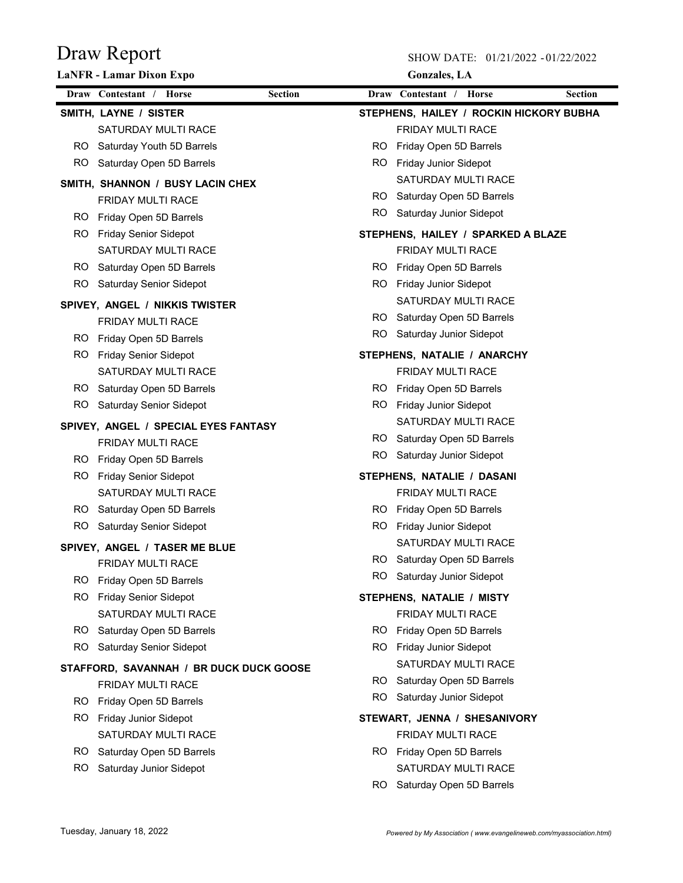|     | <b>LaNFR</b> - Lamar Dixon Expo                    |                | <b>Gonzales</b> , LA                                |
|-----|----------------------------------------------------|----------------|-----------------------------------------------------|
|     | Draw Contestant / Horse                            | <b>Section</b> | Draw Contestant /<br><b>Horse</b><br><b>Section</b> |
|     | SMITH, LAYNE / SISTER                              |                | STEPHENS, HAILEY / ROCKIN HICKORY BUBHA             |
|     | SATURDAY MULTI RACE                                |                | <b>FRIDAY MULTI RACE</b>                            |
|     | RO Saturday Youth 5D Barrels                       |                | RO.<br>Friday Open 5D Barrels                       |
|     | RO Saturday Open 5D Barrels                        |                | RO Friday Junior Sidepot                            |
|     | SMITH, SHANNON / BUSY LACIN CHEX                   |                | SATURDAY MULTI RACE                                 |
|     | <b>FRIDAY MULTI RACE</b>                           |                | RO Saturday Open 5D Barrels                         |
|     | RO Friday Open 5D Barrels                          |                | Saturday Junior Sidepot<br>RO                       |
| RO. | <b>Friday Senior Sidepot</b>                       |                | STEPHENS, HAILEY / SPARKED A BLAZE                  |
|     | SATURDAY MULTI RACE                                |                | FRIDAY MULTI RACE                                   |
|     | RO Saturday Open 5D Barrels                        |                | Friday Open 5D Barrels<br>RO                        |
|     | RO Saturday Senior Sidepot                         |                | RO Friday Junior Sidepot                            |
|     | SPIVEY, ANGEL / NIKKIS TWISTER                     |                | SATURDAY MULTI RACE                                 |
|     | FRIDAY MULTI RACE                                  |                | RO Saturday Open 5D Barrels                         |
|     | RO Friday Open 5D Barrels                          |                | RO.<br>Saturday Junior Sidepot                      |
|     | RO Friday Senior Sidepot                           |                | STEPHENS, NATALIE / ANARCHY                         |
|     | SATURDAY MULTI RACE                                |                | FRIDAY MULTI RACE                                   |
|     | RO Saturday Open 5D Barrels                        |                | RO Friday Open 5D Barrels                           |
|     | RO Saturday Senior Sidepot                         |                | RO Friday Junior Sidepot                            |
|     | SPIVEY, ANGEL / SPECIAL EYES FANTASY               |                | SATURDAY MULTI RACE                                 |
|     | FRIDAY MULTI RACE                                  |                | RO Saturday Open 5D Barrels                         |
| RO. | Friday Open 5D Barrels                             |                | RO Saturday Junior Sidepot                          |
| RO. | <b>Friday Senior Sidepot</b>                       |                | STEPHENS, NATALIE / DASANI                          |
|     | SATURDAY MULTI RACE                                |                | FRIDAY MULTI RACE                                   |
|     | RO Saturday Open 5D Barrels                        |                | RO Friday Open 5D Barrels                           |
|     | RO Saturday Senior Sidepot                         |                | RO Friday Junior Sidepot                            |
|     |                                                    |                | SATURDAY MULTI RACE                                 |
|     | SPIVEY, ANGEL / TASER ME BLUE<br>FRIDAY MULTI RACE |                | Saturday Open 5D Barrels<br>RO l                    |
| RO. | Friday Open 5D Barrels                             |                | RO Saturday Junior Sidepot                          |
| RO. | <b>Friday Senior Sidepot</b>                       |                | STEPHENS, NATALIE / MISTY                           |
|     | SATURDAY MULTI RACE                                |                | FRIDAY MULTI RACE                                   |
|     | RO Saturday Open 5D Barrels                        | RO.            | Friday Open 5D Barrels                              |
| RO. | Saturday Senior Sidepot                            |                | Friday Junior Sidepot<br>RO                         |
|     |                                                    |                | SATURDAY MULTI RACE                                 |
|     | STAFFORD, SAVANNAH / BR DUCK DUCK GOOSE            |                | RO Saturday Open 5D Barrels                         |
|     | FRIDAY MULTI RACE                                  | RO.            | Saturday Junior Sidepot                             |
| RO. | Friday Open 5D Barrels                             |                |                                                     |
| RO. | Friday Junior Sidepot                              |                | STEWART, JENNA / SHESANIVORY                        |
|     | SATURDAY MULTI RACE                                |                | FRIDAY MULTI RACE                                   |
| RO. | Saturday Open 5D Barrels                           |                | RO Friday Open 5D Barrels                           |
| RO. | Saturday Junior Sidepot                            |                | SATURDAY MULTI RACE                                 |
|     |                                                    |                | RO Saturday Open 5D Barrels                         |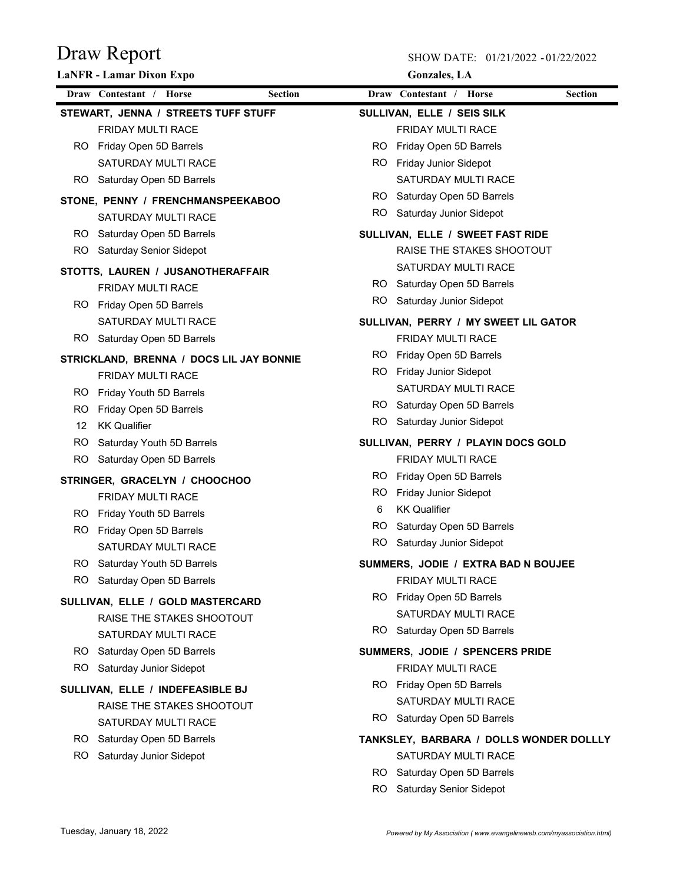|     | <b>LaNFR - Lamar Dixon Expo</b>          |                | <b>Gonzales</b> , LA                    |                |
|-----|------------------------------------------|----------------|-----------------------------------------|----------------|
|     | Draw Contestant / Horse                  | <b>Section</b> | Draw Contestant / Horse                 | <b>Section</b> |
|     | STEWART, JENNA / STREETS TUFF STUFF      |                | SULLIVAN, ELLE / SEIS SILK              |                |
|     | <b>FRIDAY MULTI RACE</b>                 |                | <b>FRIDAY MULTI RACE</b>                |                |
|     | RO Friday Open 5D Barrels                |                | RO Friday Open 5D Barrels               |                |
|     | SATURDAY MULTI RACE                      | RO.            | <b>Friday Junior Sidepot</b>            |                |
|     | RO Saturday Open 5D Barrels              |                | SATURDAY MULTI RACE                     |                |
|     | STONE, PENNY / FRENCHMANSPEEKABOO        |                | RO Saturday Open 5D Barrels             |                |
|     | SATURDAY MULTI RACE                      |                | RO Saturday Junior Sidepot              |                |
|     | RO Saturday Open 5D Barrels              |                | SULLIVAN, ELLE / SWEET FAST RIDE        |                |
|     | RO Saturday Senior Sidepot               |                | RAISE THE STAKES SHOOTOUT               |                |
|     | STOTTS, LAUREN / JUSANOTHERAFFAIR        |                | SATURDAY MULTI RACE                     |                |
|     | <b>FRIDAY MULTI RACE</b>                 |                | RO Saturday Open 5D Barrels             |                |
|     | RO Friday Open 5D Barrels                |                | RO Saturday Junior Sidepot              |                |
|     | SATURDAY MULTI RACE                      |                | SULLIVAN, PERRY / MY SWEET LIL GATOR    |                |
|     | RO Saturday Open 5D Barrels              |                | FRIDAY MULTI RACE                       |                |
|     | STRICKLAND, BRENNA / DOCS LIL JAY BONNIE | RO.            | Friday Open 5D Barrels                  |                |
|     | <b>FRIDAY MULTI RACE</b>                 |                | RO Friday Junior Sidepot                |                |
|     | RO Friday Youth 5D Barrels               |                | SATURDAY MULTI RACE                     |                |
|     | RO Friday Open 5D Barrels                |                | RO Saturday Open 5D Barrels             |                |
| 12  | <b>KK Qualifier</b>                      |                | RO Saturday Junior Sidepot              |                |
|     | RO Saturday Youth 5D Barrels             |                | SULLIVAN, PERRY / PLAYIN DOCS GOLD      |                |
|     | RO Saturday Open 5D Barrels              |                | <b>FRIDAY MULTI RACE</b>                |                |
|     | STRINGER, GRACELYN / CHOOCHOO            | RO.            | Friday Open 5D Barrels                  |                |
|     | <b>FRIDAY MULTI RACE</b>                 | RO.            | Friday Junior Sidepot                   |                |
|     | RO Friday Youth 5D Barrels               | 6              | <b>KK Qualifier</b>                     |                |
| ROI | Friday Open 5D Barrels                   | RO.            | Saturday Open 5D Barrels                |                |
|     | SATURDAY MULTI RACE                      | RO.            | Saturday Junior Sidepot                 |                |
|     | RO Saturdav Youth 5D Barrels             |                | SUMMERS, JODIE / EXTRA BAD N BOUJEE     |                |
|     | RO Saturday Open 5D Barrels              |                | FRIDAY MULTI RACE                       |                |
|     | SULLIVAN, ELLE / GOLD MASTERCARD         |                | RO Friday Open 5D Barrels               |                |
|     | RAISE THE STAKES SHOOTOUT                |                | SATURDAY MULTI RACE                     |                |
|     | SATURDAY MULTI RACE                      |                | RO Saturday Open 5D Barrels             |                |
|     | RO Saturday Open 5D Barrels              |                | SUMMERS, JODIE / SPENCERS PRIDE         |                |
|     | RO Saturday Junior Sidepot               |                | <b>FRIDAY MULTI RACE</b>                |                |
|     | SULLIVAN, ELLE / INDEFEASIBLE BJ         |                | RO Friday Open 5D Barrels               |                |
|     | RAISE THE STAKES SHOOTOUT                |                | SATURDAY MULTI RACE                     |                |
|     | SATURDAY MULTI RACE                      | RO.            | Saturday Open 5D Barrels                |                |
|     | RO Saturday Open 5D Barrels              |                | TANKSLEY, BARBARA / DOLLS WONDER DOLLLY |                |
| RO. | Saturday Junior Sidepot                  |                | SATURDAY MULTI RACE                     |                |
|     |                                          | RO.            | Saturday Open 5D Barrels                |                |
|     |                                          |                | RO Saturday Senior Sidepot              |                |
|     |                                          |                |                                         |                |
|     |                                          |                |                                         |                |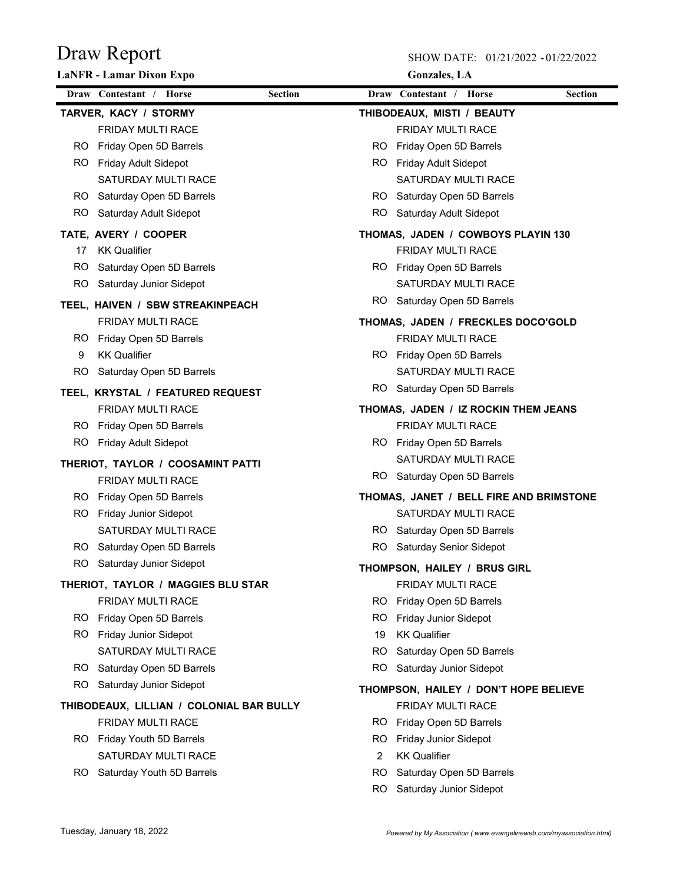|     | <b>LaNFR</b> - Lamar Dixon Expo          |                |     | <b>Gonzales</b> , LA                    |                |
|-----|------------------------------------------|----------------|-----|-----------------------------------------|----------------|
|     | Draw Contestant / Horse                  | <b>Section</b> |     | Draw Contestant / Horse                 | <b>Section</b> |
|     | TARVER, KACY / STORMY                    |                |     | THIBODEAUX, MISTI / BEAUTY              |                |
|     | FRIDAY MULTI RACE                        |                |     | FRIDAY MULTI RACE                       |                |
|     | RO Friday Open 5D Barrels                |                | RO. | Friday Open 5D Barrels                  |                |
|     | RO Friday Adult Sidepot                  |                |     | RO Friday Adult Sidepot                 |                |
|     | SATURDAY MULTI RACE                      |                |     | SATURDAY MULTI RACE                     |                |
|     | RO Saturday Open 5D Barrels              |                |     | RO Saturday Open 5D Barrels             |                |
|     | RO Saturday Adult Sidepot                |                |     | RO Saturday Adult Sidepot               |                |
|     | TATE, AVERY / COOPER                     |                |     | THOMAS, JADEN / COWBOYS PLAYIN 130      |                |
| 17  | <b>KK Qualifier</b>                      |                |     | <b>FRIDAY MULTI RACE</b>                |                |
|     | RO Saturday Open 5D Barrels              |                |     | RO Friday Open 5D Barrels               |                |
|     | RO Saturday Junior Sidepot               |                |     | SATURDAY MULTI RACE                     |                |
|     | TEEL, HAIVEN / SBW STREAKINPEACH         |                |     | RO Saturday Open 5D Barrels             |                |
|     | <b>FRIDAY MULTI RACE</b>                 |                |     | THOMAS, JADEN / FRECKLES DOCO'GOLD      |                |
|     | RO Friday Open 5D Barrels                |                |     | <b>FRIDAY MULTI RACE</b>                |                |
| 9   | <b>KK Qualifier</b>                      |                |     | RO Friday Open 5D Barrels               |                |
| RO. | Saturday Open 5D Barrels                 |                |     | SATURDAY MULTI RACE                     |                |
|     | TEEL, KRYSTAL / FEATURED REQUEST         |                |     | RO Saturday Open 5D Barrels             |                |
|     | <b>FRIDAY MULTI RACE</b>                 |                |     | THOMAS, JADEN / IZ ROCKIN THEM JEANS    |                |
|     | RO Friday Open 5D Barrels                |                |     | <b>FRIDAY MULTI RACE</b>                |                |
| RO. | <b>Friday Adult Sidepot</b>              |                |     | RO Friday Open 5D Barrels               |                |
|     | THERIOT, TAYLOR / COOSAMINT PATTI        |                |     | SATURDAY MULTI RACE                     |                |
|     | <b>FRIDAY MULTI RACE</b>                 |                |     | RO Saturday Open 5D Barrels             |                |
|     | RO Friday Open 5D Barrels                |                |     | THOMAS, JANET / BELL FIRE AND BRIMSTONE |                |
|     | RO Friday Junior Sidepot                 |                |     | <b>SATURDAY MULTI RACE</b>              |                |
|     | <b>SATURDAY MULTI RACE</b>               |                |     | RO Saturday Open 5D Barrels             |                |
|     | RO Saturday Open 5D Barrels              |                | RO. | <b>Saturday Senior Sidepot</b>          |                |
|     | RO Saturday Junior Sidepot               |                |     | THOMPSON, HAILEY / BRUS GIRL            |                |
|     | THERIOT, TAYLOR / MAGGIES BLU STAR       |                |     | FRIDAY MULTI RACE                       |                |
|     | FRIDAY MULTI RACE                        |                | RO. | Friday Open 5D Barrels                  |                |
|     | RO Friday Open 5D Barrels                |                | RO  | Friday Junior Sidepot                   |                |
|     | RO Friday Junior Sidepot                 |                | 19  | <b>KK Qualifier</b>                     |                |
|     | SATURDAY MULTI RACE                      |                | RO. | Saturday Open 5D Barrels                |                |
|     | RO Saturday Open 5D Barrels              |                |     | RO Saturday Junior Sidepot              |                |
| RO. | Saturday Junior Sidepot                  |                |     | THOMPSON, HAILEY / DON'T HOPE BELIEVE   |                |
|     | THIBODEAUX, LILLIAN / COLONIAL BAR BULLY |                |     | FRIDAY MULTI RACE                       |                |
|     | <b>FRIDAY MULTI RACE</b>                 |                | RO. | Friday Open 5D Barrels                  |                |
|     | RO Friday Youth 5D Barrels               |                | RO  | Friday Junior Sidepot                   |                |
|     | SATURDAY MULTI RACE                      |                | 2   | <b>KK Qualifier</b>                     |                |
| RO. | Saturday Youth 5D Barrels                |                | RO  | Saturday Open 5D Barrels                |                |
|     |                                          |                | RO. | Saturday Junior Sidepot                 |                |
|     |                                          |                |     |                                         |                |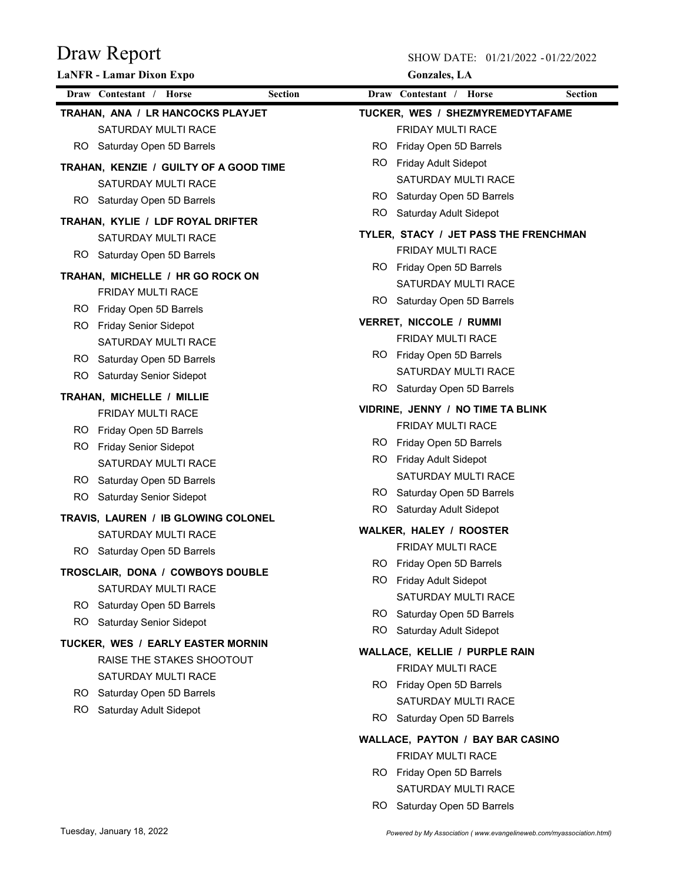SHOW DATE: 01/21/2022 - 01/22/2022

| <b>LaNFR</b> - Lamar Dixon Expo |                                        |                | <b>Gonzales</b> , LA              |                                                |                |  |
|---------------------------------|----------------------------------------|----------------|-----------------------------------|------------------------------------------------|----------------|--|
|                                 | Draw Contestant / Horse                | <b>Section</b> |                                   | Draw Contestant / Horse                        | <b>Section</b> |  |
|                                 | TRAHAN, ANA / LR HANCOCKS PLAYJET      |                |                                   | TUCKER, WES / SHEZMYREMEDYTAFAME               |                |  |
|                                 | SATURDAY MULTI RACE                    |                |                                   | FRIDAY MULTI RACE                              |                |  |
|                                 | RO Saturday Open 5D Barrels            |                | RO.                               | Friday Open 5D Barrels                         |                |  |
|                                 | TRAHAN, KENZIE / GUILTY OF A GOOD TIME |                |                                   | RO Friday Adult Sidepot                        |                |  |
|                                 | SATURDAY MULTI RACE                    |                |                                   | SATURDAY MULTI RACE                            |                |  |
|                                 | RO Saturday Open 5D Barrels            |                |                                   | RO Saturday Open 5D Barrels                    |                |  |
|                                 | TRAHAN, KYLIE / LDF ROYAL DRIFTER      |                |                                   | RO Saturday Adult Sidepot                      |                |  |
|                                 | SATURDAY MULTI RACE                    |                |                                   | TYLER, STACY / JET PASS THE FRENCHMAN          |                |  |
|                                 | RO Saturday Open 5D Barrels            |                |                                   | <b>FRIDAY MULTI RACE</b>                       |                |  |
|                                 |                                        |                |                                   | RO Friday Open 5D Barrels                      |                |  |
|                                 | TRAHAN, MICHELLE / HR GO ROCK ON       |                |                                   | SATURDAY MULTI RACE                            |                |  |
|                                 | <b>FRIDAY MULTI RACE</b>               |                |                                   | RO Saturday Open 5D Barrels                    |                |  |
|                                 | RO Friday Open 5D Barrels              |                |                                   | <b>VERRET, NICCOLE / RUMMI</b>                 |                |  |
|                                 | RO Friday Senior Sidepot               |                |                                   | <b>FRIDAY MULTI RACE</b>                       |                |  |
|                                 | SATURDAY MULTI RACE                    |                |                                   | RO Friday Open 5D Barrels                      |                |  |
|                                 | RO Saturday Open 5D Barrels            |                |                                   | SATURDAY MULTI RACE                            |                |  |
| RO.                             | <b>Saturday Senior Sidepot</b>         |                |                                   | RO Saturday Open 5D Barrels                    |                |  |
| TRAHAN, MICHELLE / MILLIE       |                                        |                | VIDRINE, JENNY / NO TIME TA BLINK |                                                |                |  |
|                                 | <b>FRIDAY MULTI RACE</b>               |                |                                   | <b>FRIDAY MULTI RACE</b>                       |                |  |
|                                 | RO Friday Open 5D Barrels              |                | RO -                              |                                                |                |  |
|                                 | RO Friday Senior Sidepot               |                |                                   | Friday Open 5D Barrels                         |                |  |
|                                 | <b>SATURDAY MULTI RACE</b>             |                |                                   | RO Friday Adult Sidepot<br>SATURDAY MULTI RACE |                |  |
|                                 | RO Saturday Open 5D Barrels            |                |                                   | RO Saturday Open 5D Barrels                    |                |  |
| RO.                             | <b>Saturday Senior Sidepot</b>         |                |                                   | RO Saturday Adult Sidepot                      |                |  |
|                                 | TRAVIS, LAUREN / IB GLOWING COLONEL    |                |                                   |                                                |                |  |
|                                 | SATURDAY MULTI RACE                    |                |                                   | <b>WALKER, HALEY / ROOSTER</b>                 |                |  |
|                                 | RO Saturday Open 5D Barrels            |                |                                   | <b>FRIDAY MULTI RACE</b>                       |                |  |
|                                 | TROSCLAIR, DONA / COWBOYS DOUBLE       |                |                                   | RO Friday Open 5D Barrels                      |                |  |
|                                 | SATURDAY MULTI RACE                    |                |                                   | RO Friday Adult Sidepot                        |                |  |
|                                 | RO Saturday Open 5D Barrels            |                |                                   | SATURDAY MULTI RACE                            |                |  |
|                                 | RO Saturday Senior Sidepot             |                |                                   | RO Saturday Open 5D Barrels                    |                |  |
|                                 | TUCKER, WES / EARLY EASTER MORNIN      |                |                                   | RO Saturday Adult Sidepot                      |                |  |
|                                 | RAISE THE STAKES SHOOTOUT              |                |                                   | WALLACE, KELLIE / PURPLE RAIN                  |                |  |
|                                 | SATURDAY MULTI RACE                    |                |                                   | FRIDAY MULTI RACE                              |                |  |
|                                 | RO Saturday Open 5D Barrels            |                |                                   | RO Friday Open 5D Barrels                      |                |  |
| RO.                             | Saturday Adult Sidepot                 |                |                                   | SATURDAY MULTI RACE                            |                |  |
|                                 |                                        |                |                                   | RO Saturday Open 5D Barrels                    |                |  |
|                                 |                                        |                |                                   | <b>WALLACE, PAYTON / BAY BAR CASINO</b>        |                |  |
|                                 |                                        |                |                                   | <b>FRIDAY MULTI RACE</b>                       |                |  |
|                                 |                                        |                |                                   | RO Friday Open 5D Barrels                      |                |  |

SATURDAY MULTI RACE RO Saturday Open 5D Barrels